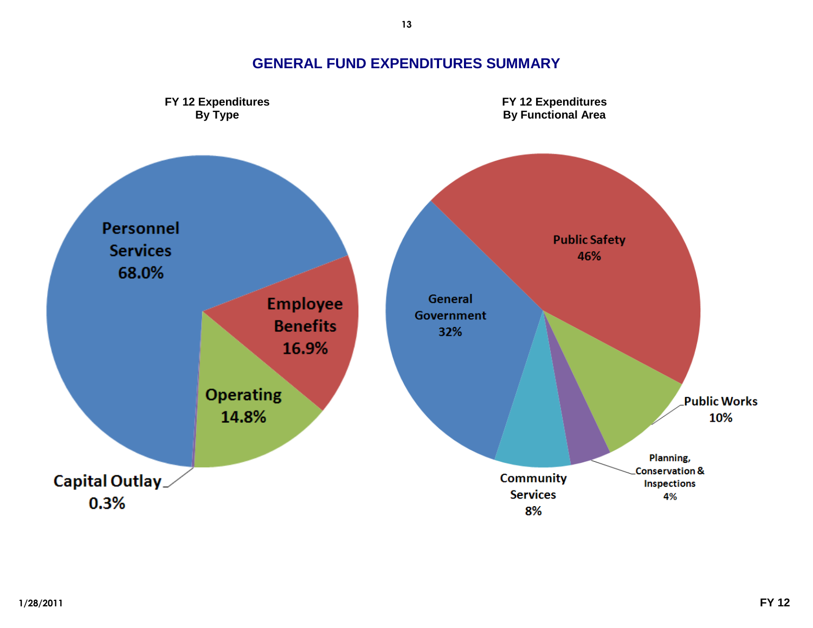

# **GENERAL FUND EXPENDITURES SUMMARY**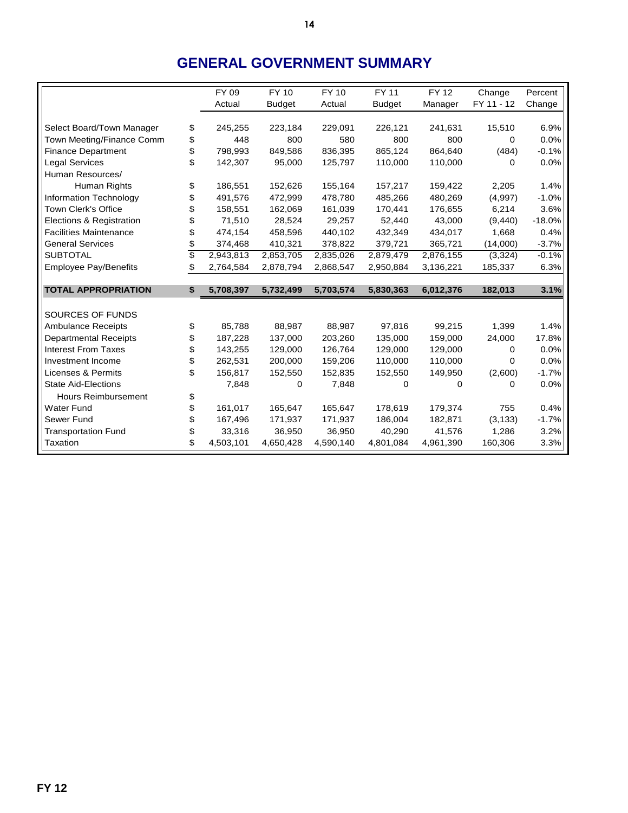# **GENERAL GOVERNMENT SUMMARY**

|                               |                         | FY 09     | <b>FY 10</b>  | <b>FY 10</b> | <b>FY 11</b>  | <b>FY12</b> | Change     | Percent  |
|-------------------------------|-------------------------|-----------|---------------|--------------|---------------|-------------|------------|----------|
|                               |                         | Actual    | <b>Budget</b> | Actual       | <b>Budget</b> | Manager     | FY 11 - 12 | Change   |
|                               |                         |           |               |              |               |             |            |          |
| Select Board/Town Manager     | \$                      | 245,255   | 223,184       | 229,091      | 226,121       | 241,631     | 15,510     | 6.9%     |
| Town Meeting/Finance Comm     | \$                      | 448       | 800           | 580          | 800           | 800         | 0          | 0.0%     |
| <b>Finance Department</b>     | \$                      | 798,993   | 849,586       | 836,395      | 865,124       | 864,640     | (484)      | $-0.1%$  |
| <b>Legal Services</b>         | \$                      | 142,307   | 95,000        | 125,797      | 110,000       | 110,000     | 0          | 0.0%     |
| Human Resources/              |                         |           |               |              |               |             |            |          |
| Human Rights                  | \$                      | 186,551   | 152,626       | 155,164      | 157,217       | 159,422     | 2,205      | 1.4%     |
| Information Technology        | \$                      | 491,576   | 472,999       | 478,780      | 485,266       | 480,269     | (4,997)    | $-1.0%$  |
| Town Clerk's Office           | \$                      | 158,551   | 162,069       | 161,039      | 170,441       | 176,655     | 6,214      | 3.6%     |
| Elections & Registration      | \$                      | 71,510    | 28,524        | 29,257       | 52,440        | 43,000      | (9, 440)   | $-18.0%$ |
| <b>Facilities Maintenance</b> | \$                      | 474,154   | 458,596       | 440,102      | 432,349       | 434,017     | 1,668      | 0.4%     |
| <b>General Services</b>       | \$                      | 374,468   | 410,321       | 378,822      | 379,721       | 365,721     | (14,000)   | $-3.7%$  |
| <b>SUBTOTAL</b>               | $\overline{\mathbb{S}}$ | 2,943,813 | 2,853,705     | 2,835,026    | 2,879,479     | 2,876,155   | (3,324)    | $-0.1%$  |
| <b>Employee Pay/Benefits</b>  | \$                      | 2,764,584 | 2,878,794     | 2,868,547    | 2,950,884     | 3,136,221   | 185,337    | 6.3%     |
|                               |                         |           |               |              |               |             |            |          |
| <b>TOTAL APPROPRIATION</b>    | \$                      | 5,708,397 | 5,732,499     | 5,703,574    | 5,830,363     | 6,012,376   | 182,013    | 3.1%     |
|                               |                         |           |               |              |               |             |            |          |
| SOURCES OF FUNDS              |                         |           |               |              |               |             |            |          |
| <b>Ambulance Receipts</b>     | \$                      | 85,788    | 88,987        | 88,987       | 97,816        | 99,215      | 1,399      | 1.4%     |
| <b>Departmental Receipts</b>  | \$                      | 187,228   | 137,000       | 203,260      | 135,000       | 159,000     | 24,000     | 17.8%    |
| <b>Interest From Taxes</b>    | \$                      | 143,255   | 129,000       | 126,764      | 129,000       | 129,000     | 0          | 0.0%     |
| Investment Income             | \$                      | 262,531   | 200,000       | 159,206      | 110,000       | 110,000     | 0          | 0.0%     |
| Licenses & Permits            | \$                      | 156,817   | 152,550       | 152,835      | 152,550       | 149,950     | (2,600)    | $-1.7%$  |
| <b>State Aid-Elections</b>    |                         | 7,848     | 0             | 7,848        | 0             | 0           | 0          | 0.0%     |
| <b>Hours Reimbursement</b>    | \$                      |           |               |              |               |             |            |          |
| <b>Water Fund</b>             | \$                      | 161,017   | 165,647       | 165,647      | 178,619       | 179,374     | 755        | 0.4%     |
| Sewer Fund                    | \$                      | 167,496   | 171,937       | 171,937      | 186,004       | 182,871     | (3, 133)   | $-1.7%$  |
| <b>Transportation Fund</b>    | \$                      | 33,316    | 36,950        | 36,950       | 40.290        | 41,576      | 1,286      | 3.2%     |
| Taxation                      | \$                      | 4,503,101 | 4,650,428     | 4,590,140    | 4,801,084     | 4,961,390   | 160,306    | 3.3%     |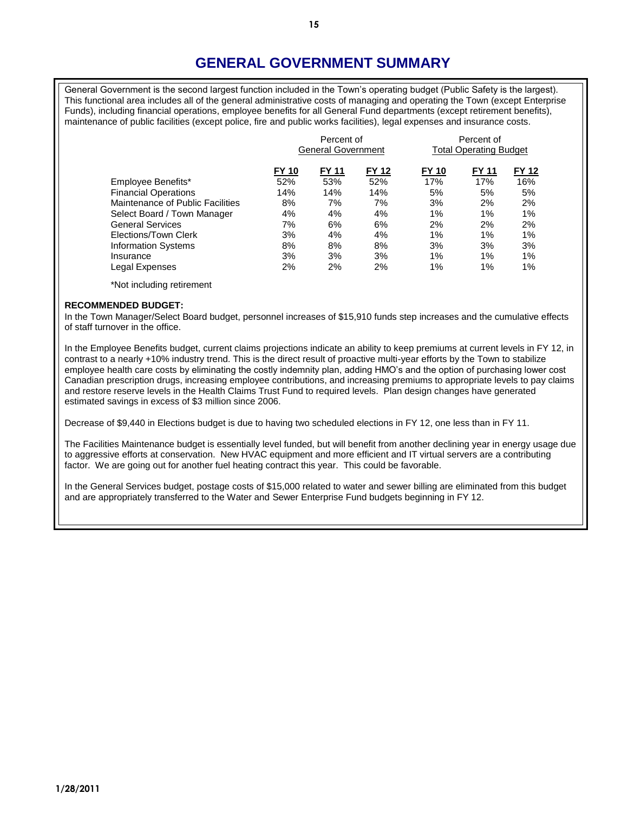# **GENERAL GOVERNMENT SUMMARY**

General Government is the second largest function included in the Town's operating budget (Public Safety is the largest). This functional area includes all of the general administrative costs of managing and operating the Town (except Enterprise Funds), including financial operations, employee benefits for all General Fund departments (except retirement benefits), maintenance of public facilities (except police, fire and public works facilities), legal expenses and insurance costs.

|                                  | Percent of<br><b>General Government</b> |              |              |              | Percent of<br><b>Total Operating Budget</b> |              |  |
|----------------------------------|-----------------------------------------|--------------|--------------|--------------|---------------------------------------------|--------------|--|
|                                  | <b>FY 10</b>                            | <b>FY 11</b> | <b>FY 12</b> | <b>FY 10</b> | FY 11                                       | <b>FY 12</b> |  |
| Employee Benefits*               | 52%                                     | 53%          | 52%          | 17%          | 17%                                         | 16%          |  |
| <b>Financial Operations</b>      | 14%                                     | 14%          | 14%          | 5%           | 5%                                          | 5%           |  |
| Maintenance of Public Facilities | 8%                                      | 7%           | 7%           | 3%           | 2%                                          | 2%           |  |
| Select Board / Town Manager      | 4%                                      | 4%           | 4%           | 1%           | 1%                                          | 1%           |  |
| <b>General Services</b>          | 7%                                      | 6%           | 6%           | 2%           | 2%                                          | 2%           |  |
| Elections/Town Clerk             | 3%                                      | 4%           | 4%           | 1%           | 1%                                          | 1%           |  |
| <b>Information Systems</b>       | 8%                                      | 8%           | 8%           | 3%           | 3%                                          | 3%           |  |
| Insurance                        | 3%                                      | 3%           | 3%           | 1%           | $1\%$                                       | $1\%$        |  |
| Legal Expenses                   | 2%                                      | 2%           | 2%           | 1%           | $1\%$                                       | $1\%$        |  |

\*Not including retirement

#### **RECOMMENDED BUDGET:**

In the Town Manager/Select Board budget, personnel increases of \$15,910 funds step increases and the cumulative effects of staff turnover in the office.

In the Employee Benefits budget, current claims projections indicate an ability to keep premiums at current levels in FY 12, in contrast to a nearly +10% industry trend. This is the direct result of proactive multi-year efforts by the Town to stabilize employee health care costs by eliminating the costly indemnity plan, adding HMO's and the option of purchasing lower cost Canadian prescription drugs, increasing employee contributions, and increasing premiums to appropriate levels to pay claims and restore reserve levels in the Health Claims Trust Fund to required levels. Plan design changes have generated estimated savings in excess of \$3 million since 2006.

Decrease of \$9,440 in Elections budget is due to having two scheduled elections in FY 12, one less than in FY 11.

The Facilities Maintenance budget is essentially level funded, but will benefit from another declining year in energy usage due to aggressive efforts at conservation. New HVAC equipment and more efficient and IT virtual servers are a contributing factor. We are going out for another fuel heating contract this year. This could be favorable.

In the General Services budget, postage costs of \$15,000 related to water and sewer billing are eliminated from this budget and are appropriately transferred to the Water and Sewer Enterprise Fund budgets beginning in FY 12.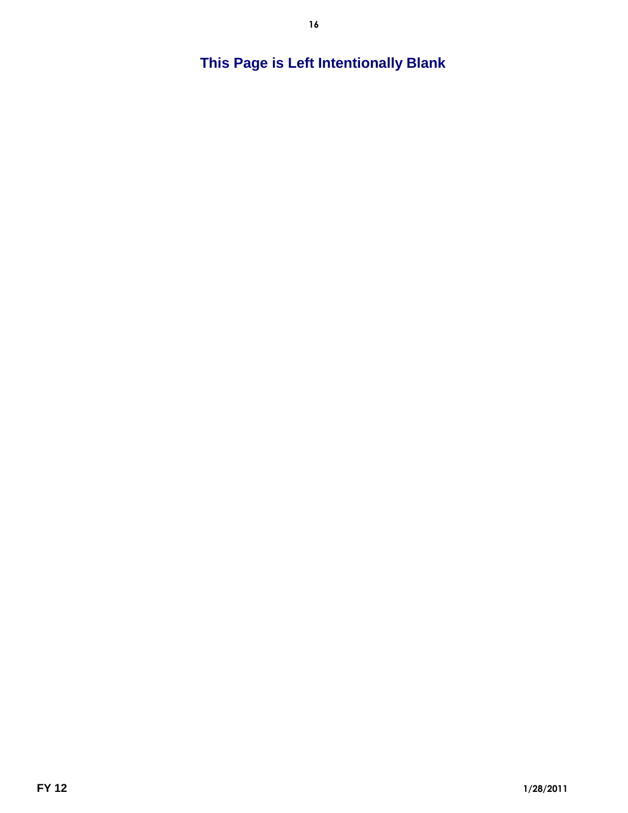**This Page is Left Intentionally Blank**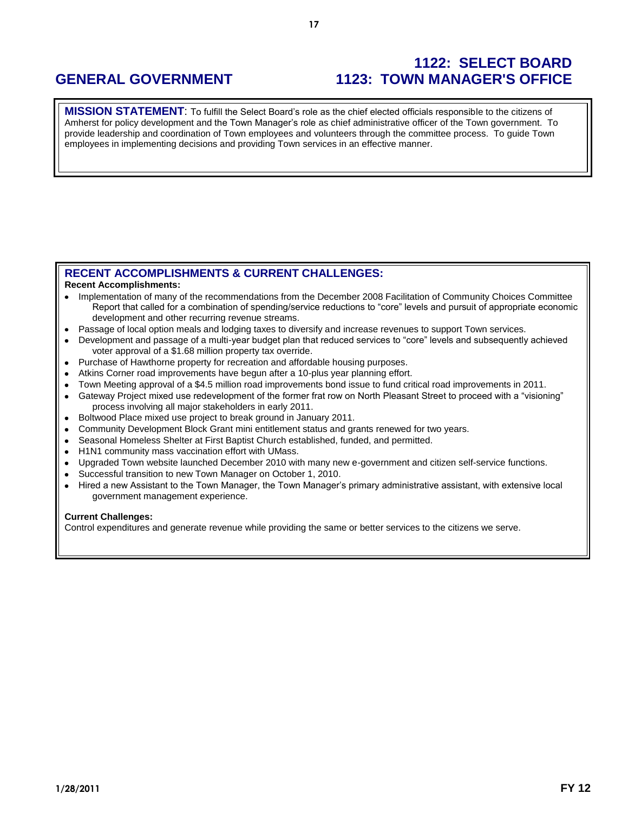# **1122: SELECT BOARD GENERAL GOVERNMENT 1123: TOWN MANAGER'S OFFICE**

**MISSION STATEMENT**: To fulfill the Select Board's role as the chief elected officials responsible to the citizens of Amherst for policy development and the Town Manager's role as chief administrative officer of the Town government. To provide leadership and coordination of Town employees and volunteers through the committee process. To guide Town employees in implementing decisions and providing Town services in an effective manner.

# **RECENT ACCOMPLISHMENTS & CURRENT CHALLENGES:**

#### **Recent Accomplishments:**

- Implementation of many of the recommendations from the December 2008 Facilitation of Community Choices Committee  $\bullet$ Report that called for a combination of spending/service reductions to "core" levels and pursuit of appropriate economic development and other recurring revenue streams.
- Passage of local option meals and lodging taxes to diversify and increase revenues to support Town services.  $\bullet$
- Development and passage of a multi-year budget plan that reduced services to "core" levels and subsequently achieved voter approval of a \$1.68 million property tax override.
- Purchase of Hawthorne property for recreation and affordable housing purposes.  $\bullet$
- Atkins Corner road improvements have begun after a 10-plus year planning effort.
- Town Meeting approval of a \$4.5 million road improvements bond issue to fund critical road improvements in 2011.
- Gateway Project mixed use redevelopment of the former frat row on North Pleasant Street to proceed with a "visioning"  $\bullet$ process involving all major stakeholders in early 2011.
- Boltwood Place mixed use project to break ground in January 2011.  $\bullet$
- Community Development Block Grant mini entitlement status and grants renewed for two years.  $\bullet$
- Seasonal Homeless Shelter at First Baptist Church established, funded, and permitted.  $\bullet$
- H1N1 community mass vaccination effort with UMass.  $\bullet$
- Upgraded Town website launched December 2010 with many new e-government and citizen self-service functions.
- Successful transition to new Town Manager on October 1, 2010.
- Hired a new Assistant to the Town Manager, the Town Manager's primary administrative assistant, with extensive local government management experience.

#### **Current Challenges:**

Control expenditures and generate revenue while providing the same or better services to the citizens we serve.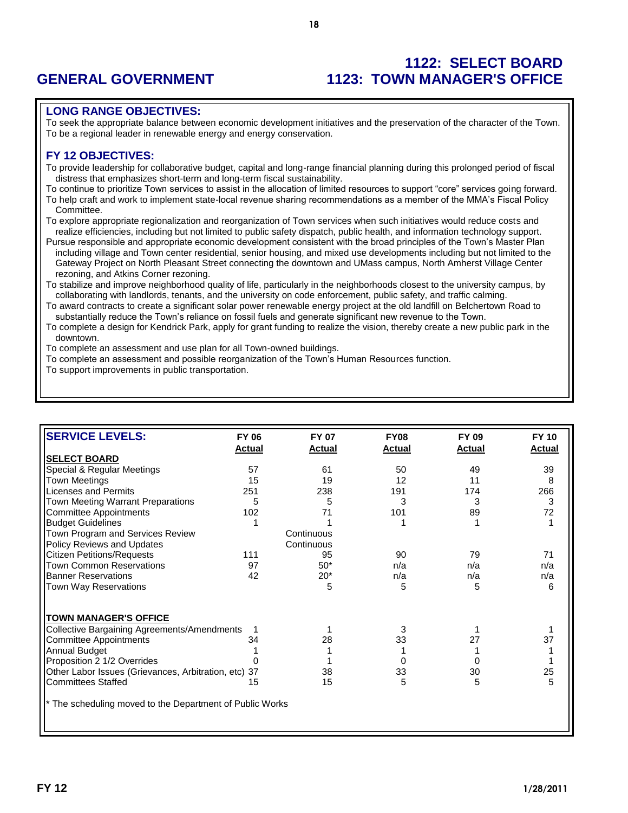# **1122: SELECT BOARD GENERAL GOVERNMENT 1123: TOWN MANAGER'S OFFICE**

### **LONG RANGE OBJECTIVES:**

To seek the appropriate balance between economic development initiatives and the preservation of the character of the Town. To be a regional leader in renewable energy and energy conservation.

### **FY 12 OBJECTIVES:**

To provide leadership for collaborative budget, capital and long-range financial planning during this prolonged period of fiscal distress that emphasizes short-term and long-term fiscal sustainability.

To continue to prioritize Town services to assist in the allocation of limited resources to support "core" services going forward. To help craft and work to implement state-local revenue sharing recommendations as a member of the MMA's Fiscal Policy Committee.

To explore appropriate regionalization and reorganization of Town services when such initiatives would reduce costs and realize efficiencies, including but not limited to public safety dispatch, public health, and information technology support.

Pursue responsible and appropriate economic development consistent with the broad principles of the Town's Master Plan including village and Town center residential, senior housing, and mixed use developments including but not limited to the Gateway Project on North Pleasant Street connecting the downtown and UMass campus, North Amherst Village Center rezoning, and Atkins Corner rezoning.

To stabilize and improve neighborhood quality of life, particularly in the neighborhoods closest to the university campus, by collaborating with landlords, tenants, and the university on code enforcement, public safety, and traffic calming.

To award contracts to create a significant solar power renewable energy project at the old landfill on Belchertown Road to substantially reduce the Town's reliance on fossil fuels and generate significant new revenue to the Town.

To complete a design for Kendrick Park, apply for grant funding to realize the vision, thereby create a new public park in the downtown.

To complete an assessment and use plan for all Town-owned buildings.

To complete an assessment and possible reorganization of the Town's Human Resources function.

To support improvements in public transportation.

| <b>SERVICE LEVELS:</b>                                   | <b>FY 06</b><br><b>Actual</b> | <b>FY 07</b><br><b>Actual</b> | <b>FY08</b><br><b>Actual</b> | <b>FY 09</b><br><b>Actual</b> | <b>FY 10</b><br><b>Actual</b> |
|----------------------------------------------------------|-------------------------------|-------------------------------|------------------------------|-------------------------------|-------------------------------|
| <b>SELECT BOARD</b>                                      |                               |                               |                              |                               |                               |
| Special & Regular Meetings                               | 57                            | 61                            | 50                           | 49                            | 39                            |
| <b>Town Meetings</b>                                     | 15                            | 19                            | 12                           | 11                            | 8                             |
| <b>Licenses and Permits</b>                              | 251                           | 238                           | 191                          | 174                           | 266                           |
| Town Meeting Warrant Preparations                        | 5                             | 5                             | 3                            | 3                             | 3                             |
| <b>Committee Appointments</b>                            | 102                           | 71                            | 101                          | 89                            | 72                            |
| <b>Budget Guidelines</b>                                 |                               |                               |                              |                               |                               |
| Town Program and Services Review                         |                               | Continuous                    |                              |                               |                               |
| Policy Reviews and Updates                               |                               | Continuous                    |                              |                               |                               |
| <b>Citizen Petitions/Requests</b>                        | 111                           | 95                            | 90                           | 79                            | 71                            |
| <b>Town Common Reservations</b>                          | 97                            | $50*$                         | n/a                          | n/a                           | n/a                           |
| <b>Banner Reservations</b>                               | 42                            | $20*$                         | n/a                          | n/a                           | n/a                           |
| Town Way Reservations                                    |                               | 5                             | 5                            | 5                             | 6                             |
| <b>TOWN MANAGER'S OFFICE</b>                             |                               |                               |                              |                               |                               |
| <b>Collective Bargaining Agreements/Amendments</b>       |                               |                               | 3                            |                               |                               |
| <b>Committee Appointments</b>                            | 34                            | 28                            | 33                           | 27                            | 37                            |
| Annual Budget                                            |                               |                               |                              |                               |                               |
| Proposition 2 1/2 Overrides                              | O                             |                               | 0                            | 0                             |                               |
| Other Labor Issues (Grievances, Arbitration, etc) 37     |                               | 38                            | 33                           | 30                            | 25                            |
| <b>Committees Staffed</b>                                | 15                            | 15                            | 5                            | 5                             | 5                             |
| * The scheduling moved to the Department of Public Works |                               |                               |                              |                               |                               |
|                                                          |                               |                               |                              |                               |                               |
|                                                          |                               |                               |                              |                               |                               |

**18**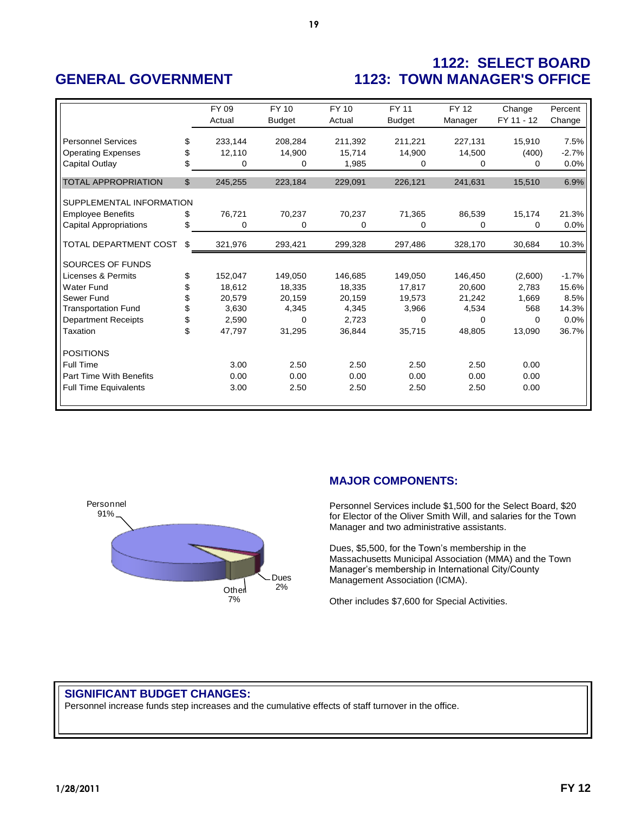# **1122: SELECT BOARD GENERAL GOVERNMENT 1123: TOWN MANAGER'S OFFICE**

|                               | FY 09<br>Actual | FY 10<br><b>Budget</b> | FY 10<br>Actual | FY 11<br><b>Budget</b> | <b>FY 12</b><br>Manager | Change<br>FY 11 - 12 | Percent<br>Change |
|-------------------------------|-----------------|------------------------|-----------------|------------------------|-------------------------|----------------------|-------------------|
| <b>Personnel Services</b>     | \$<br>233,144   | 208,284                | 211,392         | 211,221                | 227,131                 | 15,910               | 7.5%              |
| <b>Operating Expenses</b>     | \$<br>12,110    | 14,900                 | 15,714          | 14,900                 | 14,500                  | (400)                | $-2.7%$           |
| Capital Outlay                | \$<br>0         | 0                      | 1,985           | 0                      | 0                       | 0                    | 0.0%              |
|                               |                 |                        |                 |                        |                         |                      |                   |
| <b>TOTAL APPROPRIATION</b>    | \$<br>245,255   | 223,184                | 229,091         | 226,121                | 241,631                 | 15,510               | 6.9%              |
| SUPPLEMENTAL INFORMATION      |                 |                        |                 |                        |                         |                      |                   |
| <b>Employee Benefits</b>      | \$<br>76,721    | 70,237                 | 70,237          | 71,365                 | 86,539                  | 15,174               | 21.3%             |
| <b>Capital Appropriations</b> | \$<br>0         | 0                      | 0               | 0                      | 0                       | 0                    | 0.0%              |
| TOTAL DEPARTMENT COST         | \$<br>321,976   | 293,421                | 299,328         | 297,486                | 328,170                 | 30,684               | 10.3%             |
| SOURCES OF FUNDS              |                 |                        |                 |                        |                         |                      |                   |
| Licenses & Permits            | \$<br>152,047   | 149,050                | 146,685         | 149,050                | 146,450                 | (2,600)              | $-1.7%$           |
| <b>Water Fund</b>             | \$<br>18,612    | 18,335                 | 18,335          | 17,817                 | 20,600                  | 2,783                | 15.6%             |
| Sewer Fund                    | \$<br>20,579    | 20.159                 | 20.159          | 19.573                 | 21.242                  | 1.669                | 8.5%              |
| <b>Transportation Fund</b>    | \$<br>3,630     | 4,345                  | 4,345           | 3,966                  | 4,534                   | 568                  | 14.3%             |
| <b>Department Receipts</b>    | \$<br>2,590     | $\mathbf 0$            | 2,723           | 0                      | $\Omega$                | $\Omega$             | 0.0%              |
| Taxation                      | \$<br>47,797    | 31,295                 | 36,844          | 35,715                 | 48,805                  | 13,090               | 36.7%             |
| <b>POSITIONS</b>              |                 |                        |                 |                        |                         |                      |                   |
| Full Time                     | 3.00            | 2.50                   | 2.50            | 2.50                   | 2.50                    | 0.00                 |                   |
| Part Time With Benefits       | 0.00            | 0.00                   | 0.00            | 0.00                   | 0.00                    | 0.00                 |                   |
| <b>Full Time Equivalents</b>  | 3.00            | 2.50                   | 2.50            | 2.50                   | 2.50                    | 0.00                 |                   |
|                               |                 |                        |                 |                        |                         |                      |                   |



### **MAJOR COMPONENTS:**

Personnel Services include \$1,500 for the Select Board, \$20 for Elector of the Oliver Smith Will, and salaries for the Town Manager and two administrative assistants.

Dues, \$5,500, for the Town's membership in the Massachusetts Municipal Association (MMA) and the Town Manager's membership in International City/County Management Association (ICMA).

Other includes \$7,600 for Special Activities.

# **SIGNIFICANT BUDGET CHANGES:**

Personnel increase funds step increases and the cumulative effects of staff turnover in the office.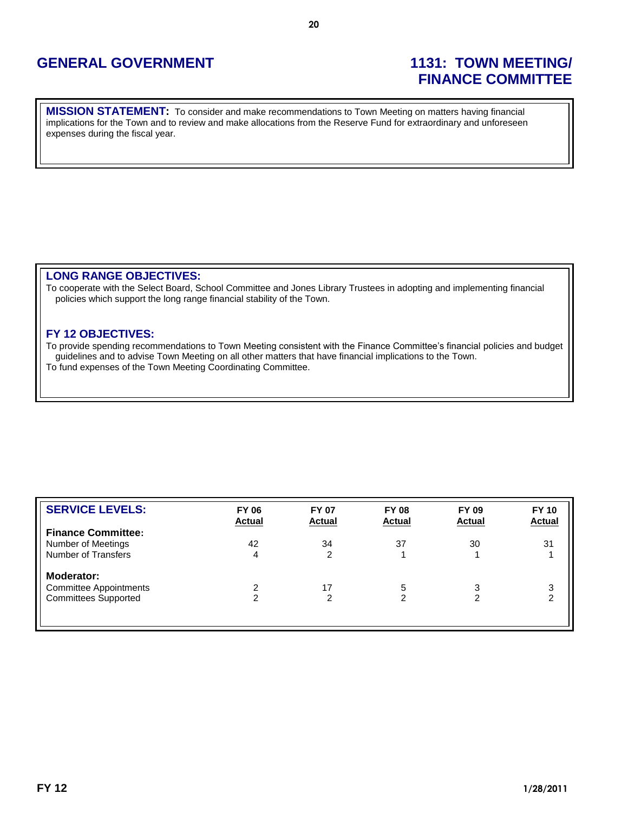# **GENERAL GOVERNMENT 1131: TOWN MEETING/**

# **FINANCE COMMITTEE**

**MISSION STATEMENT:** To consider and make recommendations to Town Meeting on matters having financial implications for the Town and to review and make allocations from the Reserve Fund for extraordinary and unforeseen expenses during the fiscal year.

### **LONG RANGE OBJECTIVES:**

To cooperate with the Select Board, School Committee and Jones Library Trustees in adopting and implementing financial policies which support the long range financial stability of the Town.

### **FY 12 OBJECTIVES:**

To provide spending recommendations to Town Meeting consistent with the Finance Committee's financial policies and budget guidelines and to advise Town Meeting on all other matters that have financial implications to the Town. To fund expenses of the Town Meeting Coordinating Committee.

| <b>SERVICE LEVELS:</b>        | <b>FY 06</b><br><b>Actual</b> | <b>FY 07</b><br><b>Actual</b> | <b>FY 08</b><br><b>Actual</b> | <b>FY 09</b><br><b>Actual</b> | <b>FY 10</b><br><b>Actual</b> |
|-------------------------------|-------------------------------|-------------------------------|-------------------------------|-------------------------------|-------------------------------|
| <b>Finance Committee:</b>     |                               |                               |                               |                               |                               |
| Number of Meetings            | 42                            | 34                            | 37                            | 30                            | 31                            |
| <b>Number of Transfers</b>    | 4                             | 2                             |                               |                               |                               |
| Moderator:                    |                               |                               |                               |                               |                               |
| <b>Committee Appointments</b> | 2                             | 17                            | 5                             |                               | 3                             |
| <b>Committees Supported</b>   | 2                             | 2                             | ົ                             |                               | 2                             |
|                               |                               |                               |                               |                               |                               |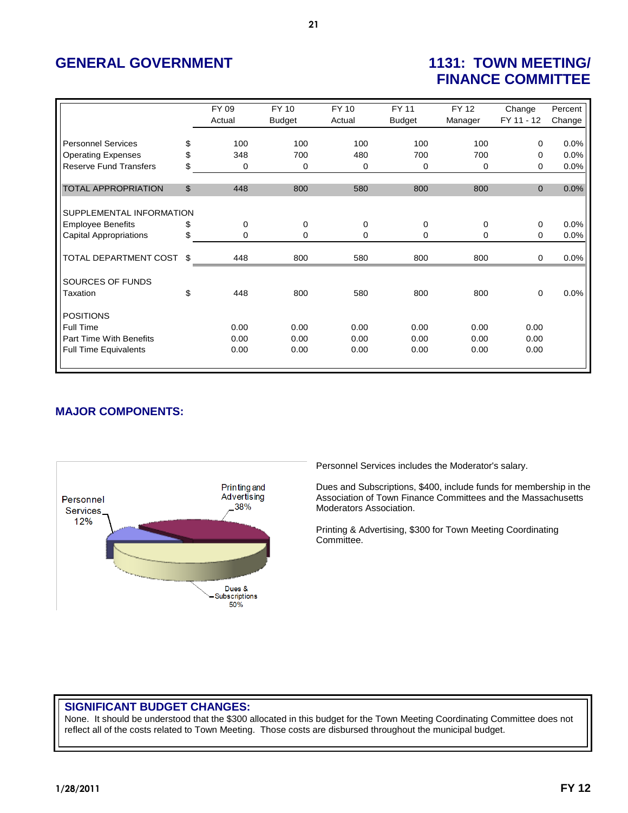# **GENERAL GOVERNMENT 1131: TOWN MEETING/**

# **FINANCE COMMITTEE**

|                                | FY 09<br>Actual | FY 10<br><b>Budget</b> | FY 10<br>Actual | FY 11<br><b>Budget</b> | <b>FY 12</b><br>Manager | Change<br>FY 11 - 12 | Percent<br>Change |
|--------------------------------|-----------------|------------------------|-----------------|------------------------|-------------------------|----------------------|-------------------|
| <b>Personnel Services</b>      | \$<br>100       | 100                    | 100             | 100                    | 100                     | 0                    | 0.0%              |
| <b>Operating Expenses</b>      | \$<br>348       | 700                    | 480             | 700                    | 700                     | 0                    | 0.0%              |
| <b>Reserve Fund Transfers</b>  | \$<br>0         | 0                      | 0               | 0                      | 0                       | $\Omega$             | 0.0%              |
| <b>TOTAL APPROPRIATION</b>     | \$<br>448       | 800                    | 580             | 800                    | 800                     | $\mathbf{0}$         | 0.0%              |
|                                |                 |                        |                 |                        |                         |                      |                   |
| SUPPLEMENTAL INFORMATION       |                 |                        |                 |                        |                         |                      |                   |
| <b>Employee Benefits</b>       | \$<br>0         | 0                      | 0               | 0                      | 0                       | 0                    | 0.0%              |
| <b>Capital Appropriations</b>  | \$<br>0         | 0                      | 0               | 0                      | 0                       | 0                    | 0.0%              |
| TOTAL DEPARTMENT COST          | \$<br>448       | 800                    | 580             | 800                    | 800                     | 0                    | 0.0%              |
| SOURCES OF FUNDS               |                 |                        |                 |                        |                         |                      |                   |
| Taxation                       | \$<br>448       | 800                    | 580             | 800                    | 800                     | 0                    | 0.0%              |
| <b>POSITIONS</b>               |                 |                        |                 |                        |                         |                      |                   |
| Full Time                      | 0.00            | 0.00                   | 0.00            | 0.00                   | 0.00                    | 0.00                 |                   |
| <b>Part Time With Benefits</b> | 0.00            | 0.00                   | 0.00            | 0.00                   | 0.00                    | 0.00                 |                   |
| <b>Full Time Equivalents</b>   | 0.00            | 0.00                   | 0.00            | 0.00                   | 0.00                    | 0.00                 |                   |
|                                |                 |                        |                 |                        |                         |                      |                   |

# **MAJOR COMPONENTS:**



Personnel Services includes the Moderator's salary.

Dues and Subscriptions, \$400, include funds for membership in the Association of Town Finance Committees and the Massachusetts Moderators Association.

Printing & Advertising, \$300 for Town Meeting Coordinating Committee.

# **SIGNIFICANT BUDGET CHANGES:**

None. It should be understood that the \$300 allocated in this budget for the Town Meeting Coordinating Committee does not reflect all of the costs related to Town Meeting. Those costs are disbursed throughout the municipal budget.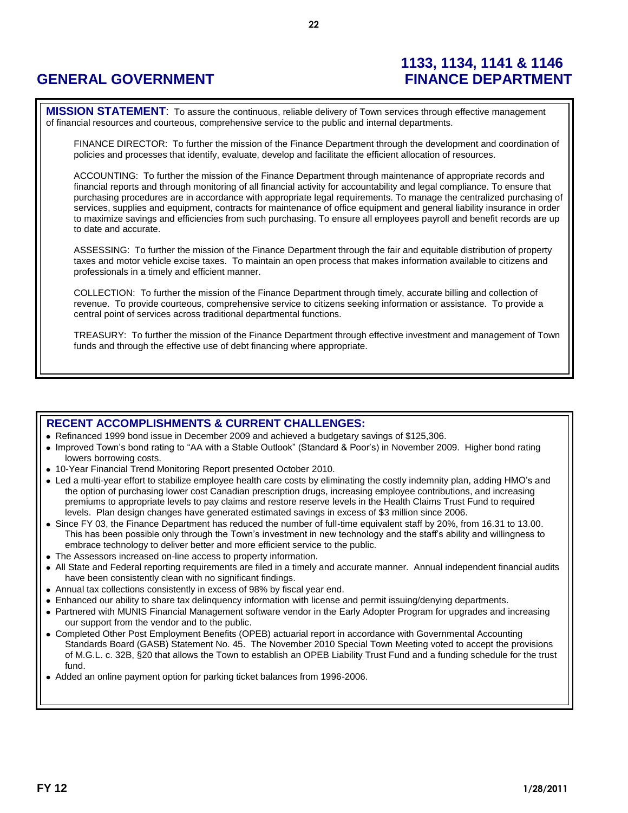# **1133, 1134, 1141 & 1146**

**MISSION STATEMENT**: To assure the continuous, reliable delivery of Town services through effective management of financial resources and courteous, comprehensive service to the public and internal departments.

FINANCE DIRECTOR: To further the mission of the Finance Department through the development and coordination of policies and processes that identify, evaluate, develop and facilitate the efficient allocation of resources.

ACCOUNTING: To further the mission of the Finance Department through maintenance of appropriate records and financial reports and through monitoring of all financial activity for accountability and legal compliance. To ensure that purchasing procedures are in accordance with appropriate legal requirements. To manage the centralized purchasing of services, supplies and equipment, contracts for maintenance of office equipment and general liability insurance in order to maximize savings and efficiencies from such purchasing. To ensure all employees payroll and benefit records are up to date and accurate.

ASSESSING: To further the mission of the Finance Department through the fair and equitable distribution of property taxes and motor vehicle excise taxes. To maintain an open process that makes information available to citizens and professionals in a timely and efficient manner.

COLLECTION: To further the mission of the Finance Department through timely, accurate billing and collection of revenue. To provide courteous, comprehensive service to citizens seeking information or assistance. To provide a central point of services across traditional departmental functions.

TREASURY: To further the mission of the Finance Department through effective investment and management of Town funds and through the effective use of debt financing where appropriate.

## **RECENT ACCOMPLISHMENTS & CURRENT CHALLENGES:**

- Refinanced 1999 bond issue in December 2009 and achieved a budgetary savings of \$125,306.
- Improved Town's bond rating to "AA with a Stable Outlook" (Standard & Poor's) in November 2009. Higher bond rating lowers borrowing costs.
- 10-Year Financial Trend Monitoring Report presented October 2010.
- Led a multi-year effort to stabilize employee health care costs by eliminating the costly indemnity plan, adding HMO's and the option of purchasing lower cost Canadian prescription drugs, increasing employee contributions, and increasing premiums to appropriate levels to pay claims and restore reserve levels in the Health Claims Trust Fund to required levels. Plan design changes have generated estimated savings in excess of \$3 million since 2006.
- Since FY 03, the Finance Department has reduced the number of full-time equivalent staff by 20%, from 16.31 to 13.00. This has been possible only through the Town's investment in new technology and the staff's ability and willingness to embrace technology to deliver better and more efficient service to the public.
- The Assessors increased on-line access to property information.
- All State and Federal reporting requirements are filed in a timely and accurate manner. Annual independent financial audits have been consistently clean with no significant findings.
- Annual tax collections consistently in excess of 98% by fiscal year end.
- Enhanced our ability to share tax delinquency information with license and permit issuing/denying departments.
- Partnered with MUNIS Financial Management software vendor in the Early Adopter Program for upgrades and increasing our support from the vendor and to the public.
- Completed Other Post Employment Benefits (OPEB) actuarial report in accordance with Governmental Accounting Standards Board (GASB) Statement No. 45. The November 2010 Special Town Meeting voted to accept the provisions of M.G.L. c. 32B, §20 that allows the Town to establish an OPEB Liability Trust Fund and a funding schedule for the trust fund.
- Added an online payment option for parking ticket balances from 1996-2006.

**22**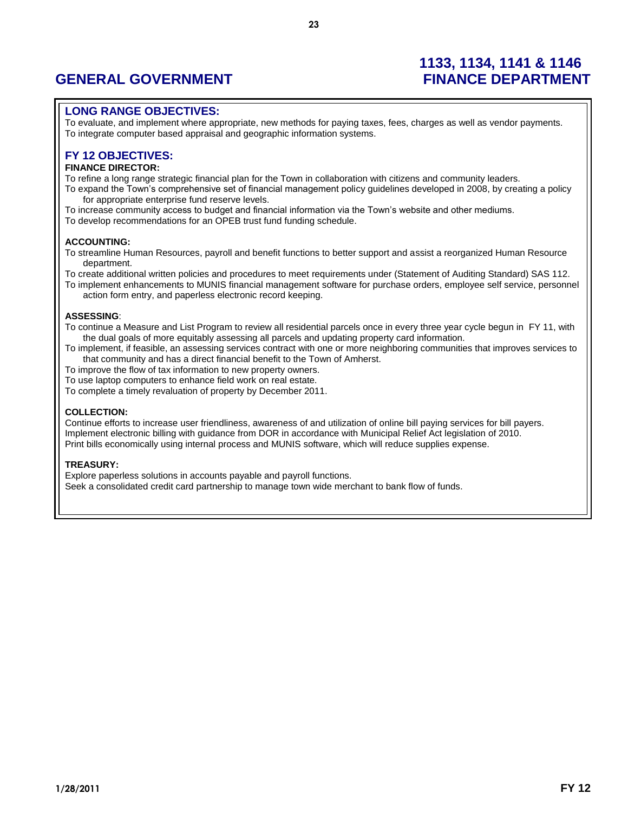# **1133, 1134, 1141 & 1146**

### **LONG RANGE OBJECTIVES:**

To evaluate, and implement where appropriate, new methods for paying taxes, fees, charges as well as vendor payments. To integrate computer based appraisal and geographic information systems.

# **FY 12 OBJECTIVES:**

### **FINANCE DIRECTOR:**

To refine a long range strategic financial plan for the Town in collaboration with citizens and community leaders.

- To expand the Town's comprehensive set of financial management policy guidelines developed in 2008, by creating a policy for appropriate enterprise fund reserve levels.
- To increase community access to budget and financial information via the Town's website and other mediums.

To develop recommendations for an OPEB trust fund funding schedule.

#### **ACCOUNTING:**

- To streamline Human Resources, payroll and benefit functions to better support and assist a reorganized Human Resource department.
- To create additional written policies and procedures to meet requirements under (Statement of Auditing Standard) SAS 112.
- To implement enhancements to MUNIS financial management software for purchase orders, employee self service, personnel action form entry, and paperless electronic record keeping.

#### **ASSESSING**:

- To continue a Measure and List Program to review all residential parcels once in every three year cycle begun in FY 11, with the dual goals of more equitably assessing all parcels and updating property card information.
- To implement, if feasible, an assessing services contract with one or more neighboring communities that improves services to that community and has a direct financial benefit to the Town of Amherst.
- To improve the flow of tax information to new property owners.
- To use laptop computers to enhance field work on real estate.
- To complete a timely revaluation of property by December 2011.

#### **COLLECTION:**

Continue efforts to increase user friendliness, awareness of and utilization of online bill paying services for bill payers. Implement electronic billing with guidance from DOR in accordance with Municipal Relief Act legislation of 2010. Print bills economically using internal process and MUNIS software, which will reduce supplies expense.

#### **TREASURY:**

Explore paperless solutions in accounts payable and payroll functions.

Seek a consolidated credit card partnership to manage town wide merchant to bank flow of funds.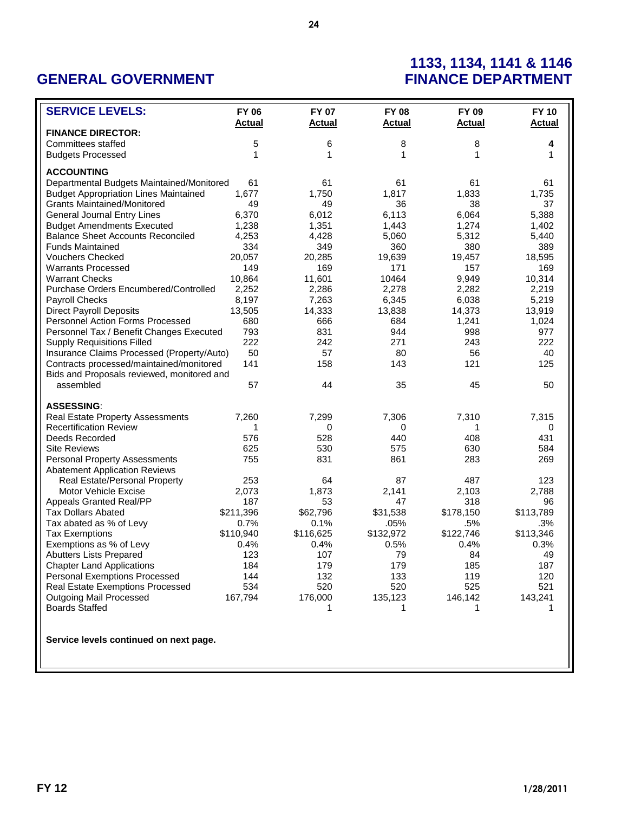| <b>SERVICE LEVELS:</b>                                                                    | <b>FY 06</b>      | <b>FY 07</b>     | <b>FY 08</b>     | FY 09            | <b>FY 10</b>     |
|-------------------------------------------------------------------------------------------|-------------------|------------------|------------------|------------------|------------------|
| <b>FINANCE DIRECTOR:</b>                                                                  | <b>Actual</b>     | <b>Actual</b>    | Actual           | <b>Actual</b>    | <b>Actual</b>    |
| Committees staffed                                                                        | 5                 | 6                | 8                | 8                | 4                |
| <b>Budgets Processed</b>                                                                  | 1                 | 1                | 1                | 1                | 1                |
|                                                                                           |                   |                  |                  |                  |                  |
| <b>ACCOUNTING</b>                                                                         | 61                | 61               | 61               | 61               | 61               |
| Departmental Budgets Maintained/Monitored<br><b>Budget Appropriation Lines Maintained</b> | 1,677             | 1,750            | 1,817            | 1,833            | 1,735            |
| <b>Grants Maintained/Monitored</b>                                                        | 49                | 49               | 36               | 38               | 37               |
| <b>General Journal Entry Lines</b>                                                        | 6,370             | 6,012            | 6,113            | 6,064            | 5,388            |
| <b>Budget Amendments Executed</b>                                                         | 1,238             | 1,351            | 1,443            | 1,274            | 1,402            |
| <b>Balance Sheet Accounts Reconciled</b>                                                  | 4,253             | 4,428            | 5,060            | 5,312            | 5,440            |
| <b>Funds Maintained</b>                                                                   | 334               | 349              | 360              | 380              | 389              |
| <b>Vouchers Checked</b>                                                                   | 20,057            | 20,285           | 19,639           | 19,457           | 18,595           |
| <b>Warrants Processed</b>                                                                 | 149               | 169              | 171              | 157              | 169              |
| <b>Warrant Checks</b>                                                                     | 10,864            | 11,601           | 10464            | 9,949            | 10,314           |
| Purchase Orders Encumbered/Controlled                                                     | 2,252             | 2,286            | 2,278            | 2,282            | 2,219            |
| Payroll Checks                                                                            | 8,197             | 7,263            | 6,345            | 6,038            | 5,219            |
| <b>Direct Payroll Deposits</b>                                                            | 13,505            | 14,333           | 13,838           | 14,373           | 13,919           |
| Personnel Action Forms Processed                                                          | 680               | 666              | 684              | 1,241            | 1,024            |
| Personnel Tax / Benefit Changes Executed                                                  | 793               | 831              | 944              | 998              | 977              |
| <b>Supply Requisitions Filled</b>                                                         | 222               | 242              | 271              | 243              | 222              |
| Insurance Claims Processed (Property/Auto)                                                | 50                | 57               | 80               | 56               | 40               |
| Contracts processed/maintained/monitored                                                  | 141               | 158              | 143              | 121              | 125              |
| Bids and Proposals reviewed, monitored and<br>assembled                                   | 57                | 44               | 35               | 45               | 50               |
|                                                                                           |                   |                  |                  |                  |                  |
| <b>ASSESSING:</b>                                                                         |                   |                  |                  |                  |                  |
| Real Estate Property Assessments                                                          | 7,260             | 7,299            | 7,306            | 7,310            | 7,315            |
| <b>Recertification Review</b>                                                             | 1                 | 0                | 0                | 1                | 0                |
| Deeds Recorded                                                                            | 576               | 528              | 440              | 408              | 431              |
| <b>Site Reviews</b>                                                                       | 625               | 530              | 575              | 630              | 584              |
| <b>Personal Property Assessments</b>                                                      | 755               | 831              | 861              | 283              | 269              |
| <b>Abatement Application Reviews</b>                                                      |                   |                  |                  |                  |                  |
| Real Estate/Personal Property                                                             | 253               | 64               | 87               | 487              | 123              |
| Motor Vehicle Excise                                                                      | 2,073             | 1,873            | 2,141            | 2,103            | 2,788            |
| Appeals Granted Real/PP                                                                   | 187               | 53               | 47               | 318<br>\$178,150 | 96               |
| <b>Tax Dollars Abated</b><br>Tax abated as % of Levy                                      | \$211,396<br>0.7% | \$62,796<br>0.1% | \$31,538<br>.05% | .5%              | \$113,789<br>.3% |
| <b>Tax Exemptions</b>                                                                     | \$110,940         | \$116,625        | \$132,972        | \$122,746        | \$113,346        |
| Exemptions as % of Levy                                                                   | 0.4%              | 0.4%             | 0.5%             | 0.4%             | 0.3%             |
| <b>Abutters Lists Prepared</b>                                                            | 123               | 107              | 79               | 84               | 49               |
| <b>Chapter Land Applications</b>                                                          | 184               | 179              | 179              | 185              | 187              |
| <b>Personal Exemptions Processed</b>                                                      | 144               | 132              | 133              | 119              | 120              |
| Real Estate Exemptions Processed                                                          | 534               | 520              | 520              | 525              | 521              |
| <b>Outgoing Mail Processed</b>                                                            | 167,794           | 176,000          | 135,123          | 146,142          | 143,241          |
| <b>Boards Staffed</b>                                                                     |                   | 1                | 1                | 1.               | 1                |
|                                                                                           |                   |                  |                  |                  |                  |
| Service levels continued on next page.                                                    |                   |                  |                  |                  |                  |
|                                                                                           |                   |                  |                  |                  |                  |
|                                                                                           |                   |                  |                  |                  |                  |
|                                                                                           |                   |                  |                  |                  |                  |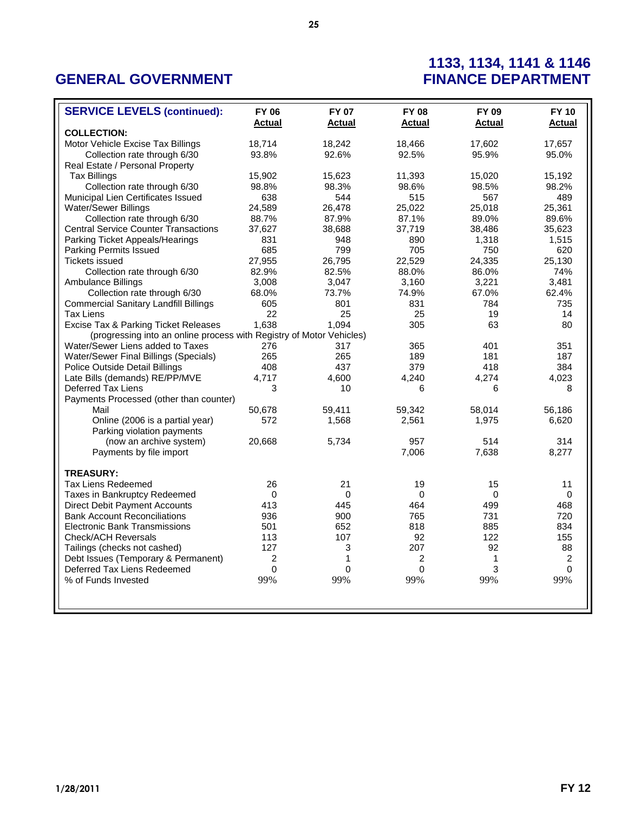| <b>SERVICE LEVELS (continued):</b>                                          | <b>FY 06</b>               | <b>FY 07</b>  | <b>FY 08</b>                   | FY 09         | <b>FY 10</b>               |
|-----------------------------------------------------------------------------|----------------------------|---------------|--------------------------------|---------------|----------------------------|
|                                                                             | <b>Actual</b>              | <b>Actual</b> | <b>Actual</b>                  | <b>Actual</b> | <b>Actual</b>              |
| <b>COLLECTION:</b>                                                          |                            |               |                                |               |                            |
| Motor Vehicle Excise Tax Billings                                           | 18,714                     | 18,242        | 18,466                         | 17,602        | 17,657                     |
| Collection rate through 6/30                                                | 93.8%                      | 92.6%         | 92.5%                          | 95.9%         | 95.0%                      |
| Real Estate / Personal Property                                             |                            |               |                                |               |                            |
| <b>Tax Billings</b>                                                         | 15,902                     | 15.623        | 11,393                         | 15,020        | 15,192                     |
| Collection rate through 6/30                                                | 98.8%                      | 98.3%         | 98.6%                          | 98.5%         | 98.2%                      |
| Municipal Lien Certificates Issued                                          | 638                        | 544           | 515                            | 567           | 489                        |
| <b>Water/Sewer Billings</b>                                                 | 24,589                     | 26,478        | 25,022                         | 25,018        | 25,361                     |
| Collection rate through 6/30                                                | 88.7%                      | 87.9%         | 87.1%                          | 89.0%         | 89.6%                      |
| <b>Central Service Counter Transactions</b>                                 | 37,627                     | 38,688        | 37,719                         | 38,486        | 35,623                     |
| Parking Ticket Appeals/Hearings                                             | 831                        | 948           | 890                            | 1,318         | 1,515                      |
| Parking Permits Issued                                                      | 685                        | 799           | 705                            | 750           | 620                        |
| <b>Tickets issued</b>                                                       | 27,955                     | 26,795        | 22,529                         | 24,335        | 25,130                     |
| Collection rate through 6/30                                                | 82.9%                      | 82.5%         | 88.0%                          | 86.0%         | 74%                        |
| Ambulance Billings                                                          | 3,008                      | 3.047         | 3,160                          | 3,221         | 3,481                      |
| Collection rate through 6/30                                                | 68.0%                      | 73.7%         | 74.9%                          | 67.0%         | 62.4%                      |
| <b>Commercial Sanitary Landfill Billings</b>                                | 605                        | 801           | 831                            | 784           | 735                        |
| <b>Tax Liens</b>                                                            | 22                         | 25            | 25                             | 19            | 14                         |
| Excise Tax & Parking Ticket Releases                                        | 1,638                      | 1.094         | 305                            | 63            | 80                         |
| (progressing into an online process with Registry of Motor Vehicles)        |                            |               |                                |               |                            |
| Water/Sewer Liens added to Taxes                                            | 276                        | 317           | 365                            | 401           | 351                        |
| Water/Sewer Final Billings (Specials)                                       | 265                        | 265           | 189                            | 181           | 187                        |
| Police Outside Detail Billings                                              | 408                        | 437           | 379                            | 418           | 384                        |
| Late Bills (demands) RE/PP/MVE                                              | 4,717                      | 4,600         | 4,240                          | 4,274         | 4,023                      |
| Deferred Tax Liens                                                          | 3                          | 10            | 6                              | 6             | 8                          |
| Payments Processed (other than counter)                                     |                            |               |                                |               |                            |
| Mail                                                                        | 50,678                     | 59.411        | 59,342                         | 58,014        | 56,186                     |
| Online (2006 is a partial year)                                             | 572                        | 1,568         | 2,561                          | 1,975         | 6,620                      |
| Parking violation payments                                                  |                            |               |                                |               |                            |
| (now an archive system)                                                     | 20,668                     | 5,734         | 957                            | 514           | 314                        |
| Payments by file import                                                     |                            |               | 7,006                          | 7,638         | 8,277                      |
| <b>TREASURY:</b>                                                            |                            |               |                                |               |                            |
| <b>Tax Liens Redeemed</b>                                                   | 26                         | 21            | 19                             | 15            | 11                         |
|                                                                             | $\Omega$                   | $\Omega$      | 0                              | $\mathbf{0}$  | $\Omega$                   |
| <b>Taxes in Bankruptcy Redeemed</b><br><b>Direct Debit Payment Accounts</b> | 413                        | 445           | 464                            | 499           |                            |
|                                                                             |                            |               |                                |               | 468                        |
| <b>Bank Account Reconciliations</b>                                         | 936                        | 900           | 765                            | 731           | 720                        |
| <b>Electronic Bank Transmissions</b>                                        | 501                        | 652           | 818                            | 885           | 834                        |
| <b>Check/ACH Reversals</b><br>Tailings (checks not cashed)                  | 113<br>127                 | 107<br>3      | 92<br>207                      | 122<br>92     | 155<br>88                  |
|                                                                             |                            |               |                                |               |                            |
| Debt Issues (Temporary & Permanent)                                         | $\overline{2}$<br>$\Omega$ | 1<br>$\Omega$ | $\overline{c}$<br>$\mathbf{0}$ | 1<br>3        | $\overline{2}$<br>$\Omega$ |
| Deferred Tax Liens Redeemed                                                 |                            |               |                                |               | 99%                        |
| % of Funds Invested                                                         | 99%                        | 99%           | 99%                            | 99%           |                            |
|                                                                             |                            |               |                                |               |                            |
|                                                                             |                            |               |                                |               |                            |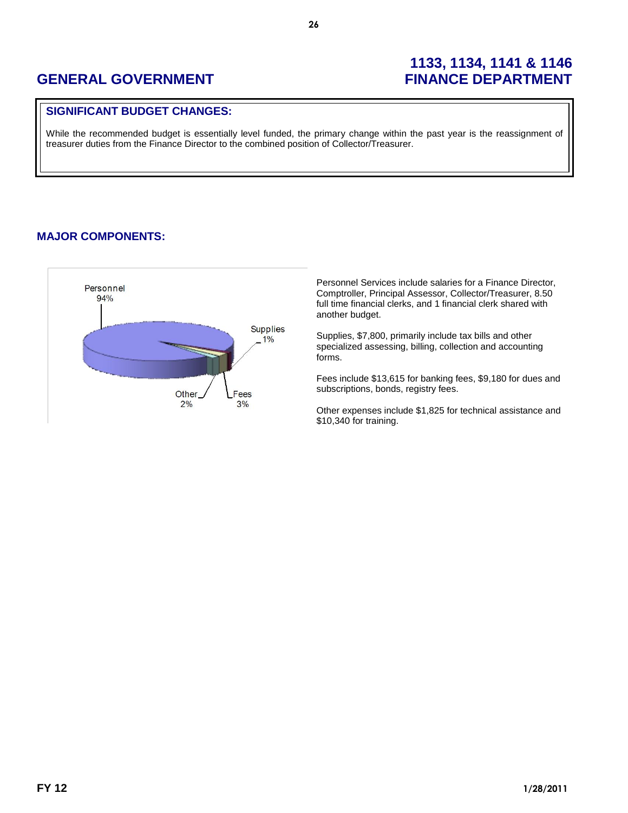# **SIGNIFICANT BUDGET CHANGES:**

While the recommended budget is essentially level funded, the primary change within the past year is the reassignment of treasurer duties from the Finance Director to the combined position of Collector/Treasurer.

# **MAJOR COMPONENTS:**



Personnel Services include salaries for a Finance Director, Comptroller, Principal Assessor, Collector/Treasurer, 8.50 full time financial clerks, and 1 financial clerk shared with another budget.

Supplies, \$7,800, primarily include tax bills and other specialized assessing, billing, collection and accounting forms.

Fees include \$13,615 for banking fees, \$9,180 for dues and subscriptions, bonds, registry fees.

Other expenses include \$1,825 for technical assistance and \$10,340 for training.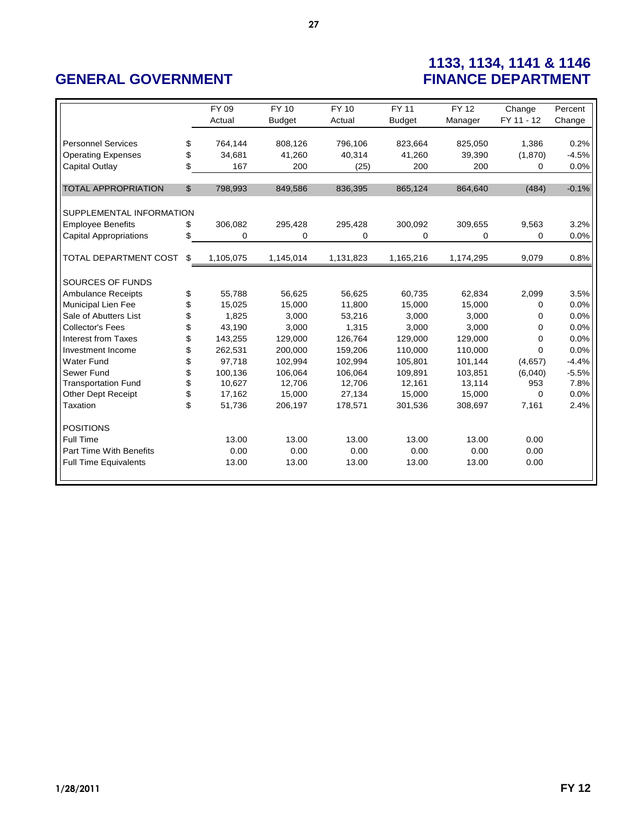|                               | FY 09           | <b>FY 10</b>  | FY 10     | <b>FY 11</b>  | <b>FY 12</b> | Change     | Percent |
|-------------------------------|-----------------|---------------|-----------|---------------|--------------|------------|---------|
|                               | Actual          | <b>Budget</b> | Actual    | <b>Budget</b> | Manager      | FY 11 - 12 | Change  |
|                               |                 |               |           |               |              |            |         |
| <b>Personnel Services</b>     | \$<br>764,144   | 808,126       | 796,106   | 823,664       | 825,050      | 1,386      | 0.2%    |
| <b>Operating Expenses</b>     | \$<br>34,681    | 41,260        | 40,314    | 41,260        | 39,390       | (1,870)    | $-4.5%$ |
| Capital Outlay                | \$<br>167       | 200           | (25)      | 200           | 200          | 0          | 0.0%    |
| <b>TOTAL APPROPRIATION</b>    | \$<br>798,993   | 849,586       | 836,395   | 865,124       | 864,640      | (484)      | $-0.1%$ |
| SUPPLEMENTAL INFORMATION      |                 |               |           |               |              |            |         |
| <b>Employee Benefits</b>      | \$<br>306,082   | 295,428       | 295,428   | 300,092       | 309,655      | 9,563      | 3.2%    |
| <b>Capital Appropriations</b> | \$<br>$\Omega$  | 0             | $\Omega$  | 0             | $\Omega$     | 0          | 0.0%    |
|                               |                 |               |           |               |              |            |         |
| TOTAL DEPARTMENT COST         | \$<br>1,105,075 | 1,145,014     | 1,131,823 | 1,165,216     | 1,174,295    | 9,079      | 0.8%    |
| <b>SOURCES OF FUNDS</b>       |                 |               |           |               |              |            |         |
| <b>Ambulance Receipts</b>     | \$<br>55,788    | 56,625        | 56,625    | 60,735        | 62.834       | 2,099      | 3.5%    |
| Municipal Lien Fee            | \$<br>15,025    | 15,000        | 11,800    | 15,000        | 15,000       | 0          | 0.0%    |
| Sale of Abutters List         | \$<br>1,825     | 3,000         | 53,216    | 3,000         | 3,000        | 0          | 0.0%    |
| <b>Collector's Fees</b>       | \$<br>43,190    | 3,000         | 1,315     | 3,000         | 3,000        | 0          | 0.0%    |
| <b>Interest from Taxes</b>    | \$<br>143,255   | 129,000       | 126,764   | 129,000       | 129,000      | 0          | 0.0%    |
| Investment Income             | \$<br>262,531   | 200,000       | 159,206   | 110,000       | 110,000      | 0          | 0.0%    |
| <b>Water Fund</b>             | \$<br>97,718    | 102,994       | 102,994   | 105,801       | 101,144      | (4,657)    | $-4.4%$ |
| Sewer Fund                    | \$<br>100,136   | 106,064       | 106,064   | 109,891       | 103,851      | (6,040)    | $-5.5%$ |
| <b>Transportation Fund</b>    | \$<br>10,627    | 12,706        | 12,706    | 12,161        | 13,114       | 953        | 7.8%    |
| <b>Other Dept Receipt</b>     | \$<br>17,162    | 15,000        | 27,134    | 15,000        | 15,000       | $\Omega$   | 0.0%    |
| Taxation                      | \$<br>51,736    | 206,197       | 178,571   | 301,536       | 308,697      | 7,161      | 2.4%    |
| <b>POSITIONS</b>              |                 |               |           |               |              |            |         |
| Full Time                     | 13.00           | 13.00         | 13.00     | 13.00         | 13.00        | 0.00       |         |
| Part Time With Benefits       | 0.00            | 0.00          | 0.00      | 0.00          | 0.00         | 0.00       |         |
| <b>Full Time Equivalents</b>  | 13.00           | 13.00         | 13.00     | 13.00         | 13.00        | 0.00       |         |
|                               |                 |               |           |               |              |            |         |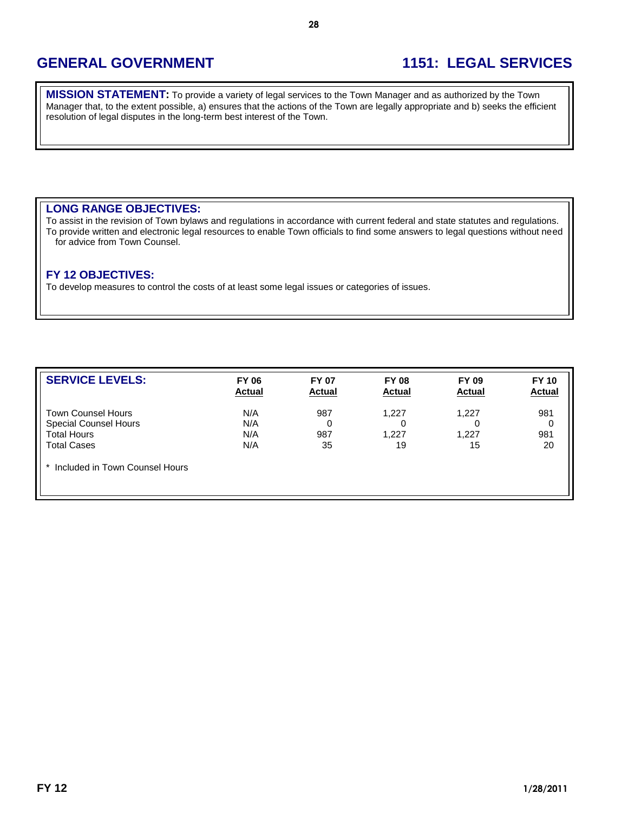**MISSION STATEMENT:** To provide a variety of legal services to the Town Manager and as authorized by the Town Manager that, to the extent possible, a) ensures that the actions of the Town are legally appropriate and b) seeks the efficient resolution of legal disputes in the long-term best interest of the Town.

# **LONG RANGE OBJECTIVES:**

To assist in the revision of Town bylaws and regulations in accordance with current federal and state statutes and regulations. To provide written and electronic legal resources to enable Town officials to find some answers to legal questions without need for advice from Town Counsel.

# **FY 12 OBJECTIVES:**

To develop measures to control the costs of at least some legal issues or categories of issues.

| <b>SERVICE LEVELS:</b>                                                                                                                             | <b>FY 06</b>             | <b>FY 07</b>          | <b>FY 08</b>              | <b>FY 09</b>              | <b>FY 10</b>          |
|----------------------------------------------------------------------------------------------------------------------------------------------------|--------------------------|-----------------------|---------------------------|---------------------------|-----------------------|
|                                                                                                                                                    | <b>Actual</b>            | <b>Actual</b>         | <b>Actual</b>             | <b>Actual</b>             | <b>Actual</b>         |
| <b>Town Counsel Hours</b><br><b>Special Counsel Hours</b><br><b>Total Hours</b><br><b>Total Cases</b><br>Included in Town Counsel Hours<br>$\star$ | N/A<br>N/A<br>N/A<br>N/A | 987<br>0<br>987<br>35 | 1,227<br>0<br>1,227<br>19 | 1,227<br>0<br>1,227<br>15 | 981<br>0<br>981<br>20 |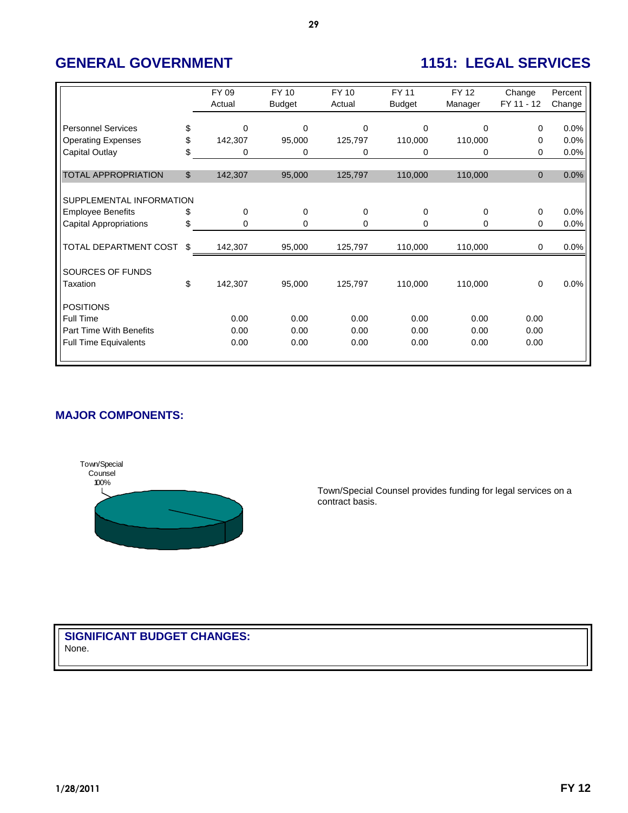# **GENERAL GOVERNMENT 1151: LEGAL SERVICES**

|                               |          | FY 09<br>Actual | FY 10<br><b>Budget</b> | FY 10<br>Actual | <b>FY 11</b><br><b>Budget</b> | <b>FY 12</b><br>Manager | Change<br>FY 11 - 12 | Percent<br>Change |
|-------------------------------|----------|-----------------|------------------------|-----------------|-------------------------------|-------------------------|----------------------|-------------------|
| <b>Personnel Services</b>     |          | 0               | 0                      | $\Omega$        | $\Omega$                      | 0                       | 0                    | 0.0%              |
|                               | \$<br>\$ | 142,307         | 95,000                 | 125,797         | 110,000                       | 110,000                 | 0                    | 0.0%              |
| <b>Operating Expenses</b>     | \$       |                 | 0                      |                 | 0                             |                         | 0                    | 0.0%              |
| Capital Outlay                |          | 0               |                        | 0               |                               | 0                       |                      |                   |
| <b>TOTAL APPROPRIATION</b>    | \$       | 142,307         | 95,000                 | 125,797         | 110,000                       | 110,000                 | $\mathbf{0}$         | 0.0%              |
| SUPPLEMENTAL INFORMATION      |          |                 |                        |                 |                               |                         |                      |                   |
| <b>Employee Benefits</b>      | \$       | $\mathbf 0$     | $\mathbf 0$            | $\mathbf 0$     | 0                             | 0                       | 0                    | 0.0%              |
| <b>Capital Appropriations</b> | \$       | 0               | 0                      | 0               | 0                             | 0                       | $\mathbf{0}$         | 0.0%              |
|                               |          |                 |                        |                 |                               |                         |                      |                   |
| TOTAL DEPARTMENT COST         | \$       | 142,307         | 95,000                 | 125,797         | 110,000                       | 110,000                 | $\mathbf 0$          | 0.0%              |
| SOURCES OF FUNDS              |          |                 |                        |                 |                               |                         |                      |                   |
| Taxation                      | \$       | 142,307         | 95,000                 | 125,797         | 110,000                       | 110,000                 | $\mathbf 0$          | 0.0%              |
|                               |          |                 |                        |                 |                               |                         |                      |                   |
| <b>POSITIONS</b>              |          |                 |                        |                 |                               |                         |                      |                   |
| Full Time                     |          | 0.00            | 0.00                   | 0.00            | 0.00                          | 0.00                    | 0.00                 |                   |
| Part Time With Benefits       |          | 0.00            | 0.00                   | 0.00            | 0.00                          | 0.00                    | 0.00                 |                   |
| <b>Full Time Equivalents</b>  |          | 0.00            | 0.00                   | 0.00            | 0.00                          | 0.00                    | 0.00                 |                   |
|                               |          |                 |                        |                 |                               |                         |                      |                   |

# **MAJOR COMPONENTS:**



Town/Special Counsel provides funding for legal services on a contract basis.

**SIGNIFICANT BUDGET CHANGES:** None.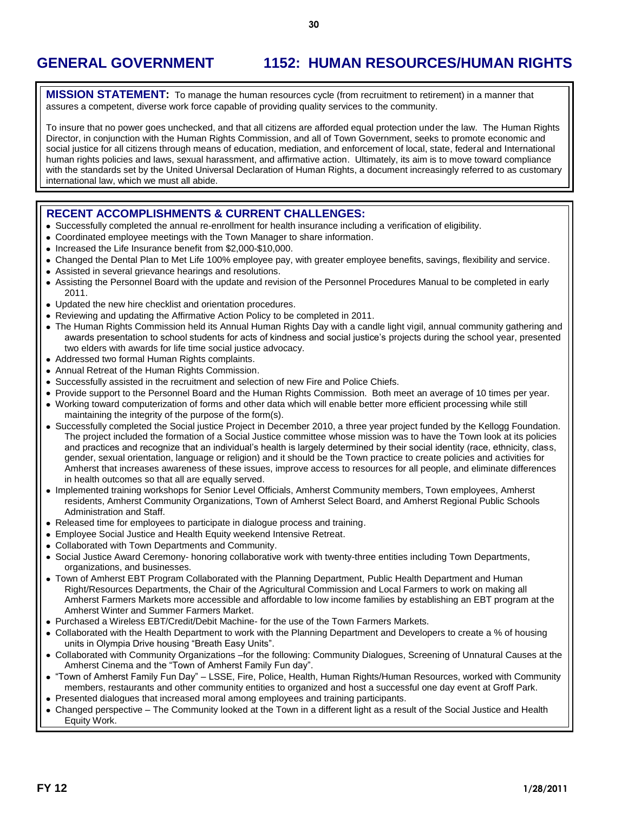**MISSION STATEMENT:** To manage the human resources cycle (from recruitment to retirement) in a manner that assures a competent, diverse work force capable of providing quality services to the community.

To insure that no power goes unchecked, and that all citizens are afforded equal protection under the law. The Human Rights Director, in conjunction with the Human Rights Commission, and all of Town Government, seeks to promote economic and social justice for all citizens through means of education, mediation, and enforcement of local, state, federal and International human rights policies and laws, sexual harassment, and affirmative action. Ultimately, its aim is to move toward compliance with the standards set by the United Universal Declaration of Human Rights, a document increasingly referred to as customary international law, which we must all abide.

## **RECENT ACCOMPLISHMENTS & CURRENT CHALLENGES:**

- Successfully completed the annual re-enrollment for health insurance including a verification of eligibility.
- Coordinated employee meetings with the Town Manager to share information.
- Increased the Life Insurance benefit from \$2,000-\$10,000.
- Changed the Dental Plan to Met Life 100% employee pay, with greater employee benefits, savings, flexibility and service.
- Assisted in several grievance hearings and resolutions.
- Assisting the Personnel Board with the update and revision of the Personnel Procedures Manual to be completed in early 2011.
- Updated the new hire checklist and orientation procedures.
- Reviewing and updating the Affirmative Action Policy to be completed in 2011.
- The Human Rights Commission held its Annual Human Rights Day with a candle light vigil, annual community gathering and awards presentation to school students for acts of kindness and social justice's projects during the school year, presented two elders with awards for life time social justice advocacy.
- Addressed two formal Human Rights complaints.
- Annual Retreat of the Human Rights Commission.
- Successfully assisted in the recruitment and selection of new Fire and Police Chiefs.
- Provide support to the Personnel Board and the Human Rights Commission. Both meet an average of 10 times per year.
- Working toward computerization of forms and other data which will enable better more efficient processing while still maintaining the integrity of the purpose of the form(s).
- Successfully completed the Social justice Project in December 2010, a three year project funded by the Kellogg Foundation. The project included the formation of a Social Justice committee whose mission was to have the Town look at its policies and practices and recognize that an individual's health is largely determined by their social identity (race, ethnicity, class, gender, sexual orientation, language or religion) and it should be the Town practice to create policies and activities for Amherst that increases awareness of these issues, improve access to resources for all people, and eliminate differences in health outcomes so that all are equally served.
- Implemented training workshops for Senior Level Officials, Amherst Community members, Town employees, Amherst residents, Amherst Community Organizations, Town of Amherst Select Board, and Amherst Regional Public Schools Administration and Staff.
- Released time for employees to participate in dialogue process and training.
- Employee Social Justice and Health Equity weekend Intensive Retreat.
- Collaborated with Town Departments and Community.
- Social Justice Award Ceremony- honoring collaborative work with twenty-three entities including Town Departments, organizations, and businesses.
- Town of Amherst EBT Program Collaborated with the Planning Department, Public Health Department and Human Right/Resources Departments, the Chair of the Agricultural Commission and Local Farmers to work on making all Amherst Farmers Markets more accessible and affordable to low income families by establishing an EBT program at the Amherst Winter and Summer Farmers Market.
- Purchased a Wireless EBT/Credit/Debit Machine- for the use of the Town Farmers Markets.
- Collaborated with the Health Department to work with the Planning Department and Developers to create a % of housing units in Olympia Drive housing "Breath Easy Units".
- Collaborated with Community Organizations –for the following: Community Dialogues, Screening of Unnatural Causes at the Amherst Cinema and the "Town of Amherst Family Fun day".
- "Town of Amherst Family Fun Day" LSSE, Fire, Police, Health, Human Rights/Human Resources, worked with Community  $\bullet$ members, restaurants and other community entities to organized and host a successful one day event at Groff Park.
- Presented dialogues that increased moral among employees and training participants.
- Changed perspective The Community looked at the Town in a different light as a result of the Social Justice and Health  $\bullet$ Equity Work.

**30**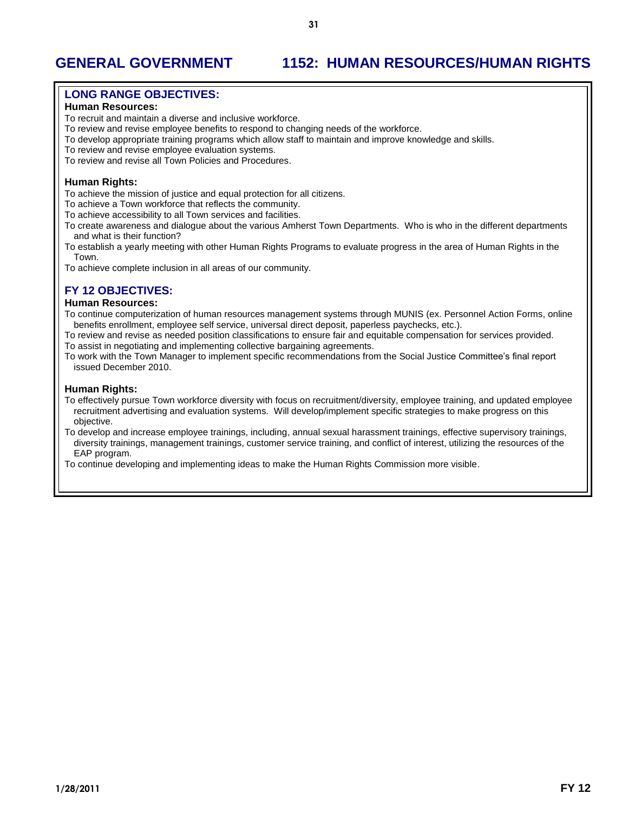### **LONG RANGE OBJECTIVES:**

#### **Human Resources:**

- To recruit and maintain a diverse and inclusive workforce.
- To review and revise employee benefits to respond to changing needs of the workforce.
- To develop appropriate training programs which allow staff to maintain and improve knowledge and skills.
- To review and revise employee evaluation systems.
- To review and revise all Town Policies and Procedures.

#### **Human Rights:**

- To achieve the mission of justice and equal protection for all citizens.
- To achieve a Town workforce that reflects the community.
- To achieve accessibility to all Town services and facilities.
- To create awareness and dialogue about the various Amherst Town Departments. Who is who in the different departments and what is their function?
- To establish a yearly meeting with other Human Rights Programs to evaluate progress in the area of Human Rights in the Town.
- To achieve complete inclusion in all areas of our community.

# **FY 12 OBJECTIVES:**

#### **Human Resources:**

- To continue computerization of human resources management systems through MUNIS (ex. Personnel Action Forms, online benefits enrollment, employee self service, universal direct deposit, paperless paychecks, etc.).
- To review and revise as needed position classifications to ensure fair and equitable compensation for services provided. To assist in negotiating and implementing collective bargaining agreements.
- To work with the Town Manager to implement specific recommendations from the Social Justice Committee's final report issued December 2010.

#### **Human Rights:**

- To effectively pursue Town workforce diversity with focus on recruitment/diversity, employee training, and updated employee recruitment advertising and evaluation systems. Will develop/implement specific strategies to make progress on this objective.
- To develop and increase employee trainings, including, annual sexual harassment trainings, effective supervisory trainings, diversity trainings, management trainings, customer service training, and conflict of interest, utilizing the resources of the EAP program.
- To continue developing and implementing ideas to make the Human Rights Commission more visible.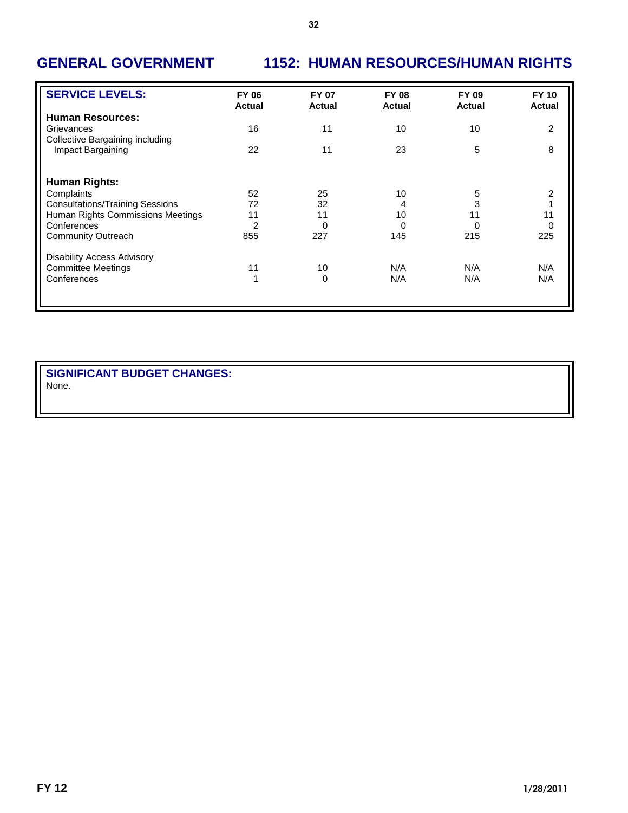| <b>SERVICE LEVELS:</b>                 | <b>FY 06</b><br><b>Actual</b> | <b>FY 07</b><br><b>Actual</b> | <b>FY 08</b><br><b>Actual</b> | FY 09<br><b>Actual</b> | <b>FY 10</b><br><b>Actual</b> |
|----------------------------------------|-------------------------------|-------------------------------|-------------------------------|------------------------|-------------------------------|
| <b>Human Resources:</b>                |                               |                               |                               |                        |                               |
| Grievances                             | 16                            | 11                            | 10                            | 10                     | 2                             |
| Collective Bargaining including        |                               |                               |                               |                        |                               |
| Impact Bargaining                      | 22                            | 11                            | 23                            | 5                      | 8                             |
| <b>Human Rights:</b>                   |                               |                               |                               |                        |                               |
| Complaints                             | 52                            | 25                            | 10                            | 5                      | 2                             |
| <b>Consultations/Training Sessions</b> | 72                            | 32                            | 4                             | 3                      | 1                             |
| Human Rights Commissions Meetings      | 11                            | 11                            | 10                            | 11                     | 11                            |
| Conferences                            | 2                             | 0                             | 0                             |                        | $\Omega$                      |
| <b>Community Outreach</b>              | 855                           | 227                           | 145                           | 215                    | 225                           |
| <b>Disability Access Advisory</b>      |                               |                               |                               |                        |                               |
| <b>Committee Meetings</b>              | 11                            | 10                            | N/A                           | N/A                    | N/A                           |
| Conferences                            |                               | 0                             | N/A                           | N/A                    | N/A                           |
|                                        |                               |                               |                               |                        |                               |

**SIGNIFICANT BUDGET CHANGES:** None.

**32**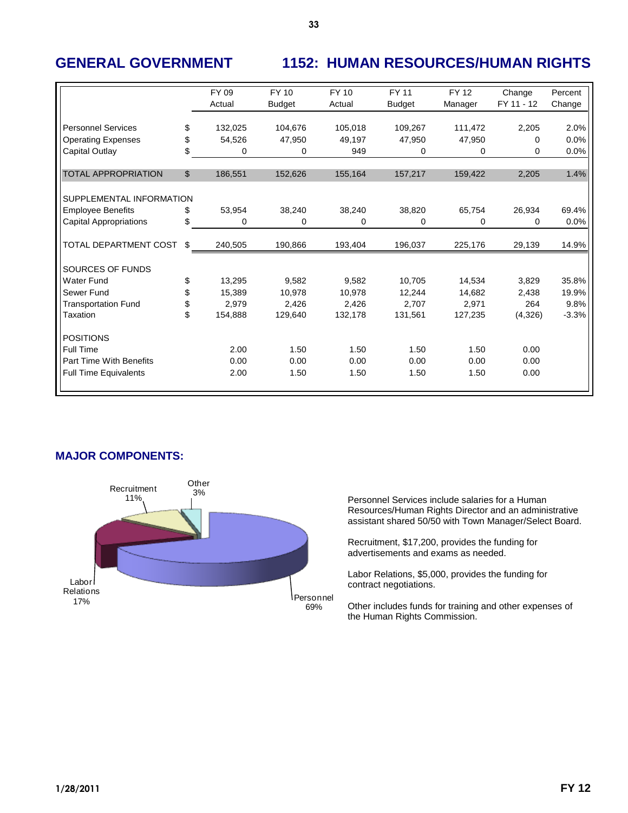|                                | FY 09<br>Actual | FY 10<br><b>Budget</b> | <b>FY 10</b><br>Actual | <b>FY 11</b><br><b>Budget</b> | <b>FY 12</b><br>Manager | Change<br>FY 11 - 12 | Percent<br>Change |
|--------------------------------|-----------------|------------------------|------------------------|-------------------------------|-------------------------|----------------------|-------------------|
|                                |                 |                        |                        |                               |                         |                      |                   |
| <b>Personnel Services</b>      | \$<br>132.025   | 104,676                | 105.018                | 109,267                       | 111,472                 | 2,205                | 2.0%              |
| <b>Operating Expenses</b>      | \$<br>54.526    | 47,950                 | 49,197                 | 47,950                        | 47.950                  | 0                    | 0.0%              |
| Capital Outlay                 | \$<br>0         | 0                      | 949                    | 0                             | 0                       | 0                    | 0.0%              |
|                                |                 |                        |                        |                               |                         |                      |                   |
| <b>TOTAL APPROPRIATION</b>     | \$<br>186,551   | 152,626                | 155,164                | 157,217                       | 159,422                 | 2,205                | 1.4%              |
|                                |                 |                        |                        |                               |                         |                      |                   |
| SUPPLEMENTAL INFORMATION       |                 |                        |                        |                               |                         |                      |                   |
| <b>Employee Benefits</b>       | \$<br>53,954    | 38,240                 | 38,240                 | 38,820                        | 65,754                  | 26,934               | 69.4%             |
| <b>Capital Appropriations</b>  | \$<br>0         | 0                      | 0                      | 0                             | 0                       | $\Omega$             | 0.0%              |
|                                |                 |                        |                        |                               |                         |                      |                   |
| <b>TOTAL DEPARTMENT COST</b>   | \$<br>240,505   | 190,866                | 193,404                | 196,037                       | 225,176                 | 29,139               | 14.9%             |
| SOURCES OF FUNDS               |                 |                        |                        |                               |                         |                      |                   |
| <b>Water Fund</b>              | \$<br>13,295    | 9,582                  | 9,582                  | 10,705                        | 14,534                  | 3,829                | 35.8%             |
| Sewer Fund                     | \$<br>15,389    | 10.978                 | 10.978                 | 12.244                        | 14,682                  | 2.438                | 19.9%             |
| <b>Transportation Fund</b>     | \$<br>2,979     | 2,426                  | 2,426                  | 2.707                         | 2.971                   | 264                  | 9.8%              |
| Taxation                       | \$<br>154,888   | 129,640                | 132,178                | 131,561                       | 127,235                 | (4,326)              | $-3.3%$           |
| <b>POSITIONS</b>               |                 |                        |                        |                               |                         |                      |                   |
| Full Time                      | 2.00            | 1.50                   | 1.50                   | 1.50                          | 1.50                    | 0.00                 |                   |
| <b>Part Time With Benefits</b> | 0.00            | 0.00                   | 0.00                   | 0.00                          | 0.00                    | 0.00                 |                   |
| <b>Full Time Equivalents</b>   | 2.00            | 1.50                   | 1.50                   | 1.50                          | 1.50                    | 0.00                 |                   |
|                                |                 |                        |                        |                               |                         |                      |                   |

# **MAJOR COMPONENTS:**



Personnel Services include salaries for a Human Resources/Human Rights Director and an administrative assistant shared 50/50 with Town Manager/Select Board.

Recruitment, \$17,200, provides the funding for advertisements and exams as needed.

Labor Relations, \$5,000, provides the funding for contract negotiations.

Other includes funds for training and other expenses of the Human Rights Commission.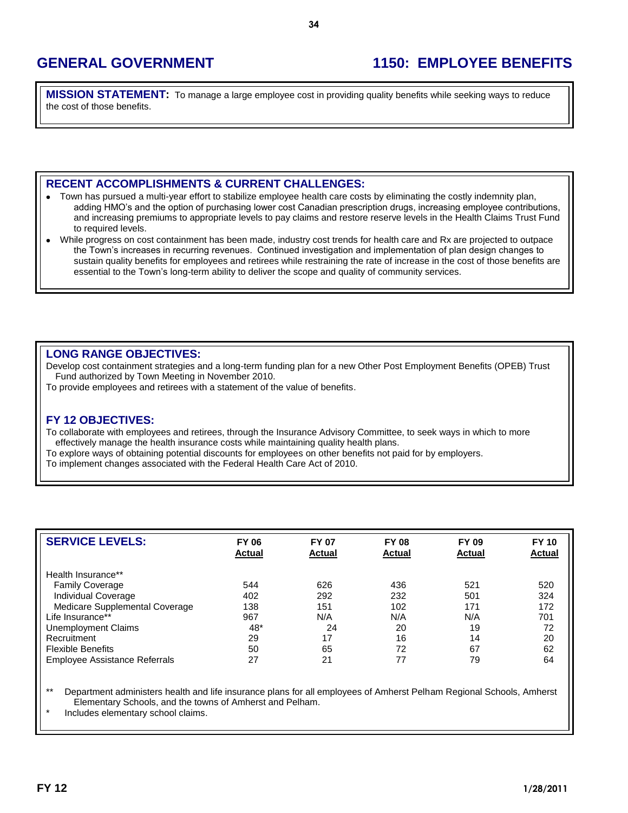# **GENERAL GOVERNMENT 1150: EMPLOYEE BENEFITS**

**MISSION STATEMENT:** To manage a large employee cost in providing quality benefits while seeking ways to reduce the cost of those benefits.

### **RECENT ACCOMPLISHMENTS & CURRENT CHALLENGES:**

- Town has pursued a multi-year effort to stabilize employee health care costs by eliminating the costly indemnity plan, adding HMO's and the option of purchasing lower cost Canadian prescription drugs, increasing employee contributions, and increasing premiums to appropriate levels to pay claims and restore reserve levels in the Health Claims Trust Fund to required levels.
- While progress on cost containment has been made, industry cost trends for health care and Rx are projected to outpace the Town's increases in recurring revenues. Continued investigation and implementation of plan design changes to sustain quality benefits for employees and retirees while restraining the rate of increase in the cost of those benefits are essential to the Town's long-term ability to deliver the scope and quality of community services.

### **LONG RANGE OBJECTIVES:**

Develop cost containment strategies and a long-term funding plan for a new Other Post Employment Benefits (OPEB) Trust Fund authorized by Town Meeting in November 2010.

To provide employees and retirees with a statement of the value of benefits.

### **FY 12 OBJECTIVES:**

To collaborate with employees and retirees, through the Insurance Advisory Committee, to seek ways in which to more effectively manage the health insurance costs while maintaining quality health plans.

To explore ways of obtaining potential discounts for employees on other benefits not paid for by employers.

To implement changes associated with the Federal Health Care Act of 2010.

| <b>SERVICE LEVELS:</b>               | <b>FY 06</b><br><b>Actual</b> | <b>FY 07</b><br><b>Actual</b> | <b>FY 08</b><br><b>Actual</b> | <b>FY 09</b><br>Actual | <b>FY 10</b><br><b>Actual</b> |
|--------------------------------------|-------------------------------|-------------------------------|-------------------------------|------------------------|-------------------------------|
| Health Insurance**                   |                               |                               |                               |                        |                               |
| <b>Family Coverage</b>               | 544                           | 626                           | 436                           | 521                    | 520                           |
| <b>Individual Coverage</b>           | 402                           | 292                           | 232                           | 501                    | 324                           |
| Medicare Supplemental Coverage       | 138                           | 151                           | 102                           | 171                    | 172                           |
| Life Insurance**                     | 967                           | N/A                           | N/A                           | N/A                    | 701                           |
| <b>Unemployment Claims</b>           | $48*$                         | 24                            | 20                            | 19                     | 72                            |
| Recruitment                          | 29                            | 17                            | 16                            | 14                     | 20                            |
| <b>Flexible Benefits</b>             | 50                            | 65                            | 72                            | 67                     | 62                            |
| <b>Employee Assistance Referrals</b> | 27                            | 21                            |                               | 79                     | 64                            |

Department administers health and life insurance plans for all employees of Amherst Pelham Regional Schools, Amherst Elementary Schools, and the towns of Amherst and Pelham.

Includes elementary school claims.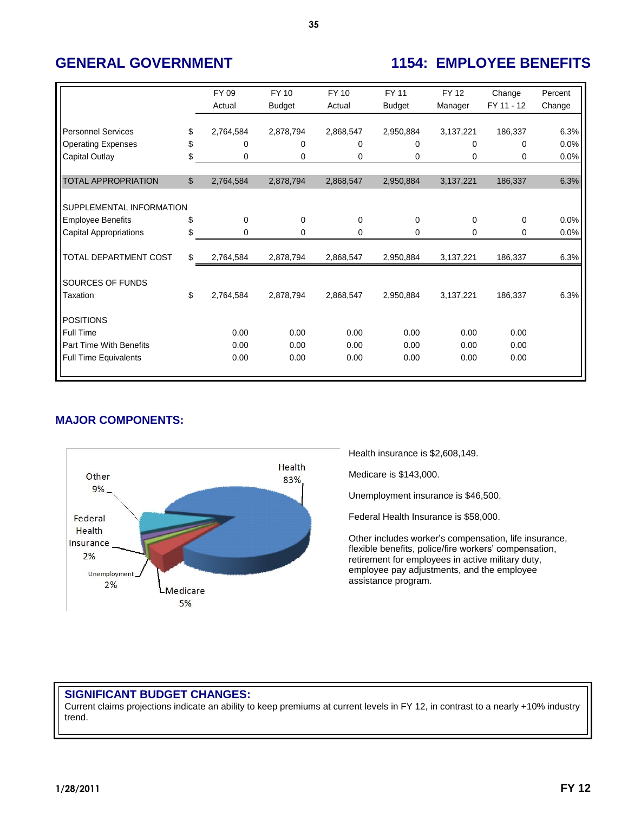# **GENERAL GOVERNMENT 1154: EMPLOYEE BENEFITS**

|                                | FY 09<br>Actual | <b>FY 10</b><br><b>Budget</b> | <b>FY 10</b><br>Actual | <b>FY11</b><br><b>Budget</b> | <b>FY12</b><br>Manager | Change<br>FY 11 - 12 | Percent<br>Change |
|--------------------------------|-----------------|-------------------------------|------------------------|------------------------------|------------------------|----------------------|-------------------|
|                                |                 |                               |                        |                              |                        |                      |                   |
| <b>Personnel Services</b>      | \$<br>2,764,584 | 2,878,794                     | 2,868,547              | 2,950,884                    | 3,137,221              | 186,337              | 6.3%              |
| <b>Operating Expenses</b>      | \$<br>0         | 0                             | 0                      | 0                            | 0                      | 0                    | 0.0%              |
| Capital Outlay                 | \$<br>0         | 0                             | 0                      | 0                            | 0                      | 0                    | 0.0%              |
|                                |                 |                               |                        |                              |                        |                      |                   |
| <b>TOTAL APPROPRIATION</b>     | \$<br>2,764,584 | 2,878,794                     | 2,868,547              | 2,950,884                    | 3,137,221              | 186,337              | 6.3%              |
|                                |                 |                               |                        |                              |                        |                      |                   |
| SUPPLEMENTAL INFORMATION       |                 |                               |                        |                              |                        |                      |                   |
| <b>Employee Benefits</b>       | \$<br>$\Omega$  | $\Omega$                      | $\Omega$               | $\Omega$                     | $\Omega$               | $\mathbf 0$          | 0.0%              |
| <b>Capital Appropriations</b>  | \$<br>0         | 0                             | 0                      | 0                            | 0                      | 0                    | 0.0%              |
|                                |                 |                               |                        |                              |                        |                      |                   |
| TOTAL DEPARTMENT COST          | \$<br>2,764,584 | 2,878,794                     | 2,868,547              | 2,950,884                    | 3,137,221              | 186,337              | 6.3%              |
| SOURCES OF FUNDS               |                 |                               |                        |                              |                        |                      |                   |
| Taxation                       | \$<br>2,764,584 | 2,878,794                     | 2,868,547              | 2,950,884                    | 3,137,221              | 186,337              | 6.3%              |
| <b>POSITIONS</b>               |                 |                               |                        |                              |                        |                      |                   |
| Full Time                      | 0.00            | 0.00                          | 0.00                   | 0.00                         | 0.00                   | 0.00                 |                   |
| <b>Part Time With Benefits</b> | 0.00            | 0.00                          | 0.00                   | 0.00                         | 0.00                   | 0.00                 |                   |
| <b>Full Time Equivalents</b>   | 0.00            | 0.00                          | 0.00                   | 0.00                         | 0.00                   | 0.00                 |                   |

# **MAJOR COMPONENTS:**



Health insurance is \$2,608,149.

Medicare is \$143,000.

Unemployment insurance is \$46,500.

Federal Health Insurance is \$58,000.

Other includes worker's compensation, life insurance, flexible benefits, police/fire workers' compensation, retirement for employees in active military duty, employee pay adjustments, and the employee assistance program.

# **SIGNIFICANT BUDGET CHANGES:**

Current claims projections indicate an ability to keep premiums at current levels in FY 12, in contrast to a nearly +10% industry trend.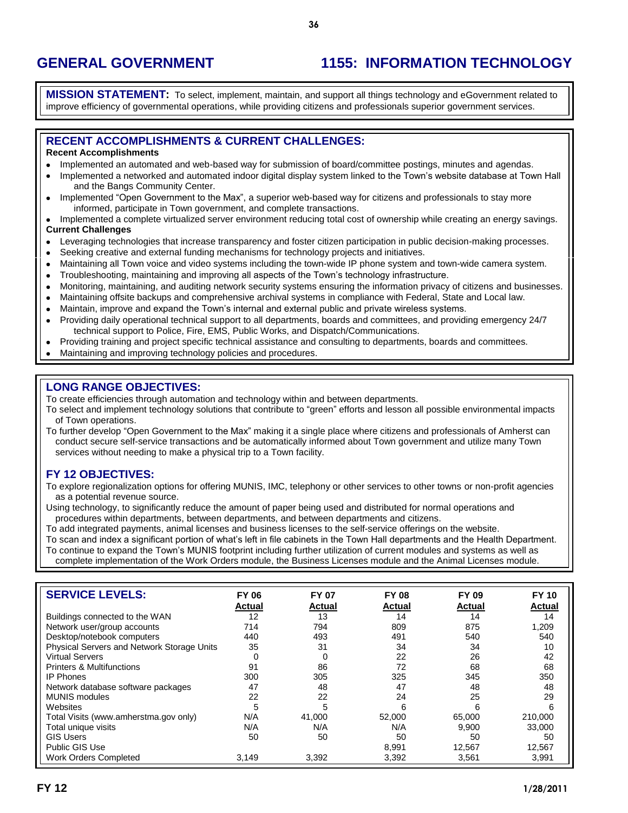# **GENERAL GOVERNMENT 1155: INFORMATION TECHNOLOGY**

**MISSION STATEMENT:** To select, implement, maintain, and support all things technology and eGovernment related to improve efficiency of governmental operations, while providing citizens and professionals superior government services.

### **RECENT ACCOMPLISHMENTS & CURRENT CHALLENGES:**

### **Recent Accomplishments**

- Implemented an automated and web-based way for submission of board/committee postings, minutes and agendas.  $\bullet$
- Implemented a networked and automated indoor digital display system linked to the Town's website database at Town Hall  $\bullet$ and the Bangs Community Center.
- Implemented "Open Government to the Max", a superior web-based way for citizens and professionals to stay more informed, participate in Town government, and complete transactions.
- Implemented a complete virtualized server environment reducing total cost of ownership while creating an energy savings. **Current Challenges**
- Leveraging technologies that increase transparency and foster citizen participation in public decision-making processes.
- Seeking creative and external funding mechanisms for technology projects and initiatives.  $\bullet$
- $\bullet$ Maintaining all Town voice and video systems including the town-wide IP phone system and town-wide camera system.
- Troubleshooting, maintaining and improving all aspects of the Town's technology infrastructure.  $\bullet$
- Monitoring, maintaining, and auditing network security systems ensuring the information privacy of citizens and businesses.  $\bullet$
- Maintaining offsite backups and comprehensive archival systems in compliance with Federal, State and Local law.  $\bullet$
- Maintain, improve and expand the Town's internal and external public and private wireless systems.  $\bullet$
- $\bullet$ Providing daily operational technical support to all departments, boards and committees, and providing emergency 24/7 technical support to Police, Fire, EMS, Public Works, and Dispatch/Communications.
- Providing training and project specific technical assistance and consulting to departments, boards and committees.  $\bullet$
- Maintaining and improving technology policies and procedures.

## **LONG RANGE OBJECTIVES:**

To create efficiencies through automation and technology within and between departments.

- To select and implement technology solutions that contribute to "green" efforts and lesson all possible environmental impacts of Town operations.
- To further develop "Open Government to the Max" making it a single place where citizens and professionals of Amherst can conduct secure self-service transactions and be automatically informed about Town government and utilize many Town services without needing to make a physical trip to a Town facility.

## **FY 12 OBJECTIVES:**

To explore regionalization options for offering MUNIS, IMC, telephony or other services to other towns or non-profit agencies as a potential revenue source.

Using technology, to significantly reduce the amount of paper being used and distributed for normal operations and procedures within departments, between departments, and between departments and citizens.

To add integrated payments, animal licenses and business licenses to the self-service offerings on the website. To scan and index a significant portion of what's left in file cabinets in the Town Hall departments and the Health Department. To continue to expand the Town's MUNIS footprint including further utilization of current modules and systems as well as complete implementation of the Work Orders module, the Business Licenses module and the Animal Licenses module.

| <b>SERVICE LEVELS:</b>                     | <b>FY 06</b>  | <b>FY 07</b>  | <b>FY 08</b>  | <b>FY 09</b>  | <b>FY 10</b>  |
|--------------------------------------------|---------------|---------------|---------------|---------------|---------------|
|                                            | <b>Actual</b> | <b>Actual</b> | <b>Actual</b> | <b>Actual</b> | <b>Actual</b> |
| Buildings connected to the WAN             | 12            | 13            | 14            | 14            | 14            |
| Network user/group accounts                | 714           | 794           | 809           | 875           | 1,209         |
| Desktop/notebook computers                 | 440           | 493           | 491           | 540           | 540           |
| Physical Servers and Network Storage Units | 35            | 31            | 34            | 34            | 10            |
| <b>Virtual Servers</b>                     | 0             | 0             | 22            | 26            | 42            |
| <b>Printers &amp; Multifunctions</b>       | 91            | 86            | 72            | 68            | 68            |
| <b>IP Phones</b>                           | 300           | 305           | 325           | 345           | 350           |
| Network database software packages         | 47            | 48            | 47            | 48            | 48            |
| <b>MUNIS</b> modules                       | 22            | 22            | 24            | 25            | 29            |
| Websites                                   | 5             | 5             | 6             | 6             | 6             |
| Total Visits (www.amherstma.gov only)      | N/A           | 41.000        | 52,000        | 65,000        | 210,000       |
| Total unique visits                        | N/A           | N/A           | N/A           | 9.900         | 33,000        |
| <b>GIS Users</b>                           | 50            | 50            | 50            | 50            | 50            |
| <b>Public GIS Use</b>                      |               |               | 8,991         | 12,567        | 12,567        |
| <b>Work Orders Completed</b>               | 3,149         | 3,392         | 3,392         | 3,561         | 3,991         |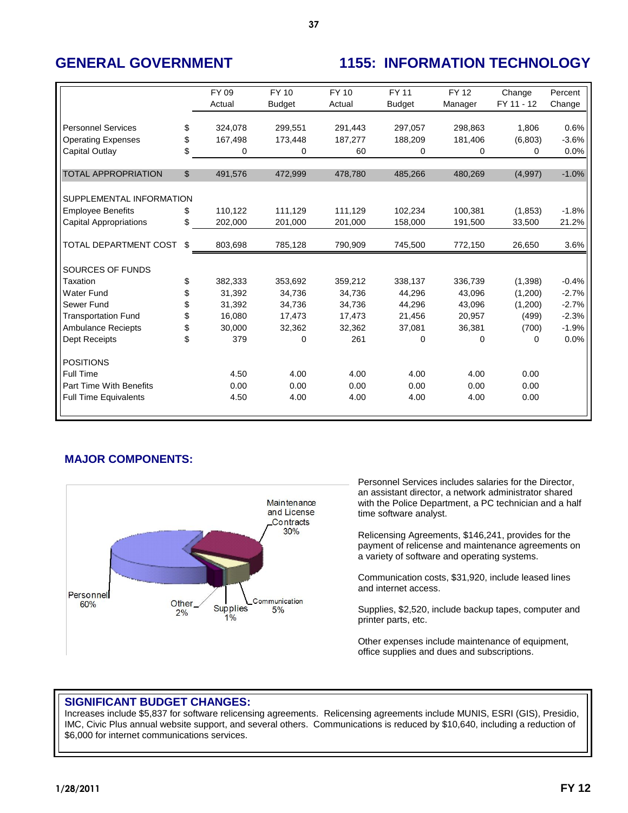# **GENERAL GOVERNMENT 1155: INFORMATION TECHNOLOGY**

|                                | FY 09         | FY 10         | <b>FY 10</b> | FY 11         | FY 12   | Change     | Percent |
|--------------------------------|---------------|---------------|--------------|---------------|---------|------------|---------|
|                                | Actual        | <b>Budget</b> | Actual       | <b>Budget</b> | Manager | FY 11 - 12 | Change  |
|                                |               |               |              |               |         |            |         |
| <b>Personnel Services</b>      | \$<br>324,078 | 299,551       | 291,443      | 297,057       | 298,863 | 1,806      | 0.6%    |
| <b>Operating Expenses</b>      | \$<br>167,498 | 173,448       | 187,277      | 188,209       | 181,406 | (6,803)    | $-3.6%$ |
| Capital Outlay                 | \$<br>0       | 0             | 60           | 0             | 0       | 0          | 0.0%    |
|                                |               |               |              |               |         |            |         |
| <b>TOTAL APPROPRIATION</b>     | \$<br>491,576 | 472,999       | 478,780      | 485,266       | 480,269 | (4,997)    | $-1.0%$ |
|                                |               |               |              |               |         |            |         |
| SUPPLEMENTAL INFORMATION       |               |               |              |               |         |            |         |
| <b>Employee Benefits</b>       | \$<br>110,122 | 111,129       | 111,129      | 102,234       | 100,381 | (1,853)    | $-1.8%$ |
| <b>Capital Appropriations</b>  | \$<br>202,000 | 201,000       | 201,000      | 158,000       | 191,500 | 33,500     | 21.2%   |
|                                |               |               |              |               |         |            |         |
| <b>TOTAL DEPARTMENT COST</b>   | \$<br>803,698 | 785,128       | 790,909      | 745,500       | 772,150 | 26,650     | 3.6%    |
|                                |               |               |              |               |         |            |         |
| SOURCES OF FUNDS               |               |               |              |               |         |            |         |
| Taxation                       | \$<br>382,333 | 353,692       | 359,212      | 338,137       | 336,739 | (1,398)    | $-0.4%$ |
| <b>Water Fund</b>              | \$<br>31,392  | 34,736        | 34,736       | 44,296        | 43,096  | (1,200)    | $-2.7%$ |
| Sewer Fund                     | \$<br>31,392  | 34,736        | 34,736       | 44,296        | 43,096  | (1,200)    | $-2.7%$ |
| <b>Transportation Fund</b>     | \$<br>16,080  | 17,473        | 17,473       | 21,456        | 20,957  | (499)      | $-2.3%$ |
| <b>Ambulance Reciepts</b>      | \$<br>30,000  | 32,362        | 32,362       | 37,081        | 36,381  | (700)      | $-1.9%$ |
| <b>Dept Receipts</b>           | \$<br>379     | 0             | 261          | 0             | 0       | 0          | 0.0%    |
|                                |               |               |              |               |         |            |         |
| <b>POSITIONS</b>               |               |               |              |               |         |            |         |
| Full Time                      | 4.50          | 4.00          | 4.00         | 4.00          | 4.00    | 0.00       |         |
| <b>Part Time With Benefits</b> | 0.00          | 0.00          | 0.00         | 0.00          | 0.00    | 0.00       |         |
| <b>Full Time Equivalents</b>   | 4.50          | 4.00          | 4.00         | 4.00          | 4.00    | 0.00       |         |
|                                |               |               |              |               |         |            |         |

# **MAJOR COMPONENTS:**



Personnel Services includes salaries for the Director, an assistant director, a network administrator shared with the Police Department, a PC technician and a half time software analyst.

Relicensing Agreements, \$146,241, provides for the payment of relicense and maintenance agreements on a variety of software and operating systems.

Communication costs, \$31,920, include leased lines and internet access.

Supplies, \$2,520, include backup tapes, computer and printer parts, etc.

Other expenses include maintenance of equipment, office supplies and dues and subscriptions.

# **SIGNIFICANT BUDGET CHANGES:**

Increases include \$5,837 for software relicensing agreements. Relicensing agreements include MUNIS, ESRI (GIS), Presidio, IMC, Civic Plus annual website support, and several others. Communications is reduced by \$10,640, including a reduction of \$6,000 for internet communications services.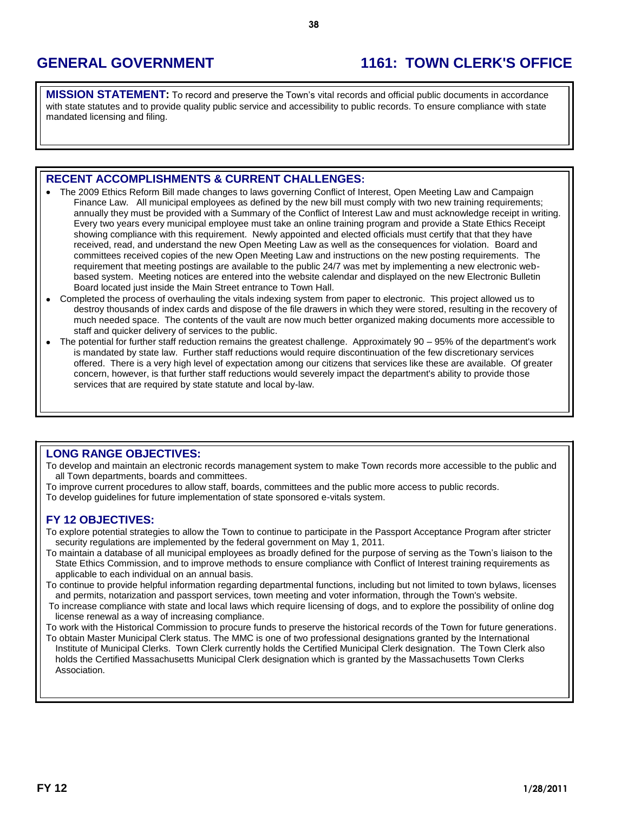# **GENERAL GOVERNMENT 1161: TOWN CLERK'S OFFICE**

**MISSION STATEMENT:** To record and preserve the Town's vital records and official public documents in accordance with state statutes and to provide quality public service and accessibility to public records. To ensure compliance with state mandated licensing and filing.

### **RECENT ACCOMPLISHMENTS & CURRENT CHALLENGES:**

- The 2009 Ethics Reform Bill made changes to laws governing Conflict of Interest, Open Meeting Law and Campaign Finance Law. All municipal employees as defined by the new bill must comply with two new training requirements; annually they must be provided with a Summary of the Conflict of Interest Law and must acknowledge receipt in writing. Every two years every municipal employee must take an online training program and provide a State Ethics Receipt showing compliance with this requirement. Newly appointed and elected officials must certify that that they have received, read, and understand the new Open Meeting Law as well as the consequences for violation. Board and committees received copies of the new Open Meeting Law and instructions on the new posting requirements. The requirement that meeting postings are available to the public 24/7 was met by implementing a new electronic webbased system. Meeting notices are entered into the website calendar and displayed on the new Electronic Bulletin Board located just inside the Main Street entrance to Town Hall.
- Completed the process of overhauling the vitals indexing system from paper to electronic. This project allowed us to  $\bullet$ destroy thousands of index cards and dispose of the file drawers in which they were stored, resulting in the recovery of much needed space. The contents of the vault are now much better organized making documents more accessible to staff and quicker delivery of services to the public.
- The potential for further staff reduction remains the greatest challenge. Approximately 90 95% of the department's work  $\bullet$ is mandated by state law. Further staff reductions would require discontinuation of the few discretionary services offered. There is a very high level of expectation among our citizens that services like these are available. Of greater concern, however, is that further staff reductions would severely impact the department's ability to provide those services that are required by state statute and local by-law.

## **LONG RANGE OBJECTIVES:**

To develop and maintain an electronic records management system to make Town records more accessible to the public and all Town departments, boards and committees.

- To improve current procedures to allow staff, boards, committees and the public more access to public records.
- To develop guidelines for future implementation of state sponsored e-vitals system.

## **FY 12 OBJECTIVES:**

To explore potential strategies to allow the Town to continue to participate in the Passport Acceptance Program after stricter security regulations are implemented by the federal government on May 1, 2011.

- To maintain a database of all municipal employees as broadly defined for the purpose of serving as the Town's liaison to the State Ethics Commission, and to improve methods to ensure compliance with Conflict of Interest training requirements as applicable to each individual on an annual basis.
- To continue to provide helpful information regarding departmental functions, including but not limited to town bylaws, licenses and permits, notarization and passport services, town meeting and voter information, through the Town's website.
- To increase compliance with state and local laws which require licensing of dogs, and to explore the possibility of online dog license renewal as a way of increasing compliance.
- To work with the Historical Commission to procure funds to preserve the historical records of the Town for future generations.
- To obtain Master Municipal Clerk status. The MMC is one of two professional designations granted by the International Institute of Municipal Clerks. Town Clerk currently holds the Certified Municipal Clerk designation. The Town Clerk also holds the Certified Massachusetts Municipal Clerk designation which is granted by the Massachusetts Town Clerks Association.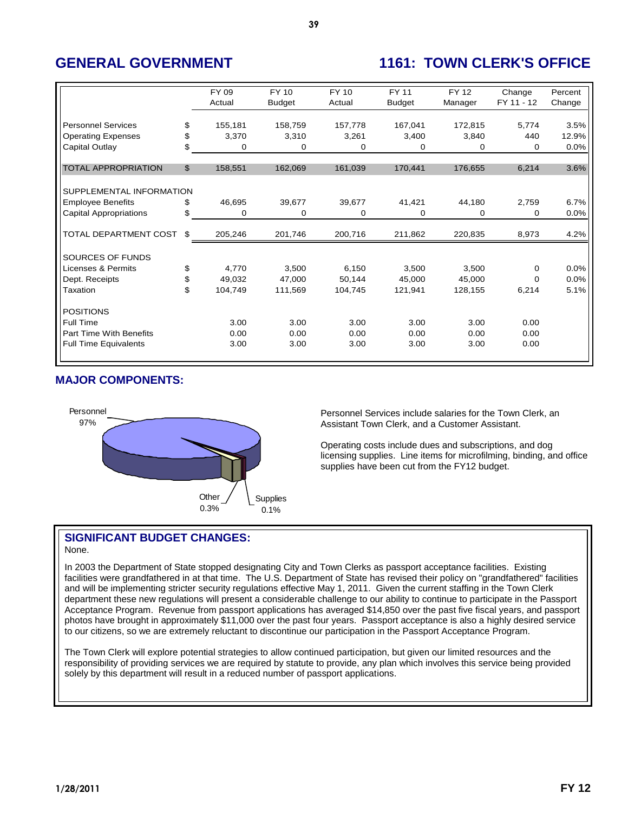# **GENERAL GOVERNMENT 1161: TOWN CLERK'S OFFICE**

|                                |                | FY 09   | <b>FY 10</b>  | <b>FY 10</b> | <b>FY 11</b>  | <b>FY 12</b> | Change     | Percent |
|--------------------------------|----------------|---------|---------------|--------------|---------------|--------------|------------|---------|
|                                |                | Actual  | <b>Budget</b> | Actual       | <b>Budget</b> | Manager      | FY 11 - 12 | Change  |
|                                |                |         |               |              |               |              |            |         |
| <b>Personnel Services</b>      | \$             | 155,181 | 158,759       | 157,778      | 167,041       | 172,815      | 5,774      | 3.5%    |
| <b>Operating Expenses</b>      | \$             | 3,370   | 3,310         | 3,261        | 3,400         | 3,840        | 440        | 12.9%   |
| Capital Outlay                 | \$             | 0       | 0             | 0            | 0             | 0            | 0          | 0.0%    |
|                                |                |         |               |              |               |              |            |         |
| <b>TOTAL APPROPRIATION</b>     | $\mathfrak{S}$ | 158,551 | 162,069       | 161,039      | 170,441       | 176,655      | 6,214      | 3.6%    |
|                                |                |         |               |              |               |              |            |         |
| SUPPLEMENTAL INFORMATION       |                |         |               |              |               |              |            |         |
| <b>Employee Benefits</b>       | \$             | 46,695  | 39,677        | 39,677       | 41,421        | 44,180       | 2,759      | 6.7%    |
| <b>Capital Appropriations</b>  | \$             | 0       | 0             | $\Omega$     | 0             | 0            | $\Omega$   | 0.0%    |
|                                |                |         |               |              |               |              |            |         |
| TOTAL DEPARTMENT COST          | \$             | 205,246 | 201,746       | 200,716      | 211,862       | 220,835      | 8,973      | 4.2%    |
|                                |                |         |               |              |               |              |            |         |
| SOURCES OF FUNDS               |                |         |               |              |               |              |            |         |
| Licenses & Permits             | \$             | 4,770   | 3,500         | 6,150        | 3,500         | 3,500        | $\Omega$   | 0.0%    |
| Dept. Receipts                 | \$             | 49,032  | 47,000        | 50,144       | 45,000        | 45,000       | $\Omega$   | 0.0%    |
| Taxation                       | \$             | 104.749 | 111.569       | 104.745      | 121.941       | 128,155      | 6,214      | 5.1%    |
|                                |                |         |               |              |               |              |            |         |
| <b>POSITIONS</b>               |                |         |               |              |               |              |            |         |
| <b>Full Time</b>               |                | 3.00    | 3.00          | 3.00         | 3.00          | 3.00         | 0.00       |         |
| <b>Part Time With Benefits</b> |                | 0.00    | 0.00          | 0.00         | 0.00          | 0.00         | 0.00       |         |
| <b>Full Time Equivalents</b>   |                | 3.00    | 3.00          | 3.00         | 3.00          | 3.00         | 0.00       |         |
|                                |                |         |               |              |               |              |            |         |

**39**

# **MAJOR COMPONENTS:**



Personnel Services include salaries for the Town Clerk, an Assistant Town Clerk, and a Customer Assistant.

Operating costs include dues and subscriptions, and dog licensing supplies. Line items for microfilming, binding, and office supplies have been cut from the FY12 budget.

#### **SIGNIFICANT BUDGET CHANGES:** None.

In 2003 the Department of State stopped designating City and Town Clerks as passport acceptance facilities. Existing facilities were grandfathered in at that time. The U.S. Department of State has revised their policy on "grandfathered" facilities and will be implementing stricter security regulations effective May 1, 2011. Given the current staffing in the Town Clerk department these new regulations will present a considerable challenge to our ability to continue to participate in the Passport Acceptance Program. Revenue from passport applications has averaged \$14,850 over the past five fiscal years, and passport photos have brought in approximately \$11,000 over the past four years. Passport acceptance is also a highly desired service to our citizens, so we are extremely reluctant to discontinue our participation in the Passport Acceptance Program.

The Town Clerk will explore potential strategies to allow continued participation, but given our limited resources and the responsibility of providing services we are required by statute to provide, any plan which involves this service being provided solely by this department will result in a reduced number of passport applications.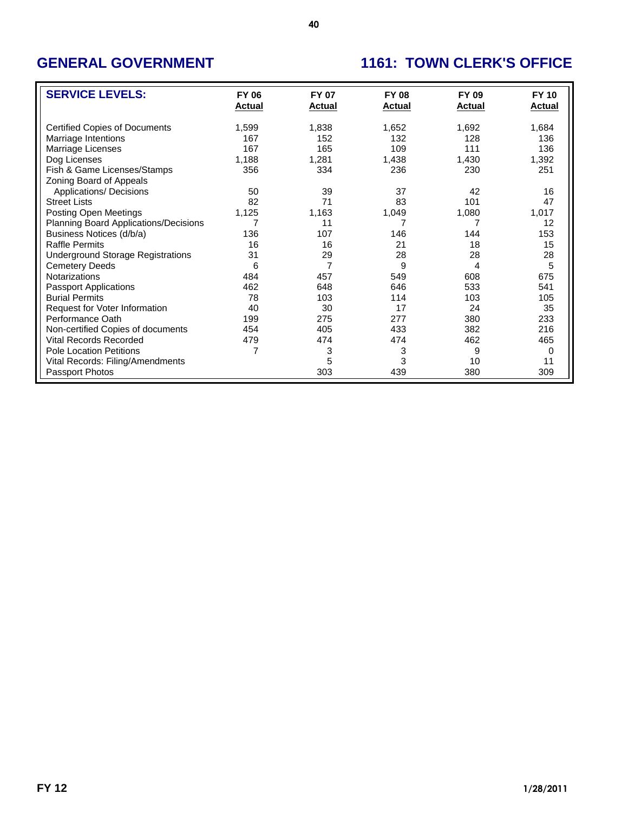# **GENERAL GOVERNMENT 1161: TOWN CLERK'S OFFICE**

| <b>SERVICE LEVELS:</b>                       | <b>FY 06</b><br><b>Actual</b> | <b>FY 07</b><br><b>Actual</b> | <b>FY 08</b><br><b>Actual</b> | FY 09<br><b>Actual</b> | <b>FY 10</b><br><b>Actual</b> |
|----------------------------------------------|-------------------------------|-------------------------------|-------------------------------|------------------------|-------------------------------|
| <b>Certified Copies of Documents</b>         | 1,599                         | 1,838                         | 1,652                         | 1,692                  | 1,684                         |
| Marriage Intentions                          | 167                           | 152                           | 132                           | 128                    | 136                           |
| Marriage Licenses                            | 167                           | 165                           | 109                           | 111                    | 136                           |
| Dog Licenses                                 | 1,188                         | 1,281                         | 1,438                         | 1,430                  | 1,392                         |
| Fish & Game Licenses/Stamps                  | 356                           | 334                           | 236                           | 230                    | 251                           |
| Zoning Board of Appeals                      |                               |                               |                               |                        |                               |
| Applications/ Decisions                      | 50                            | 39                            | 37                            | 42                     | 16                            |
| <b>Street Lists</b>                          | 82                            | 71                            | 83                            | 101                    | 47                            |
| Posting Open Meetings                        | 1,125                         | 1,163                         | 1,049                         | 1,080                  | 1,017                         |
| <b>Planning Board Applications/Decisions</b> | 7                             | 11                            | 7                             | 7                      | 12                            |
| Business Notices (d/b/a)                     | 136                           | 107                           | 146                           | 144                    | 153                           |
| <b>Raffle Permits</b>                        | 16                            | 16                            | 21                            | 18                     | 15                            |
| <b>Underground Storage Registrations</b>     | 31                            | 29                            | 28                            | 28                     | 28                            |
| <b>Cemetery Deeds</b>                        | 6                             | 7                             | 9                             | 4                      | 5                             |
| <b>Notarizations</b>                         | 484                           | 457                           | 549                           | 608                    | 675                           |
| <b>Passport Applications</b>                 | 462                           | 648                           | 646                           | 533                    | 541                           |
| <b>Burial Permits</b>                        | 78                            | 103                           | 114                           | 103                    | 105                           |
| Request for Voter Information                | 40                            | 30                            | 17                            | 24                     | 35                            |
| Performance Oath                             | 199                           | 275                           | 277                           | 380                    | 233                           |
| Non-certified Copies of documents            | 454                           | 405                           | 433                           | 382                    | 216                           |
| Vital Records Recorded                       | 479                           | 474                           | 474                           | 462                    | 465                           |
| <b>Pole Location Petitions</b>               | 7                             | 3                             | 3                             | 9                      | 0                             |
| Vital Records: Filing/Amendments             |                               | 5                             | 3                             | 10                     | 11                            |
| Passport Photos                              |                               | 303                           | 439                           | 380                    | 309                           |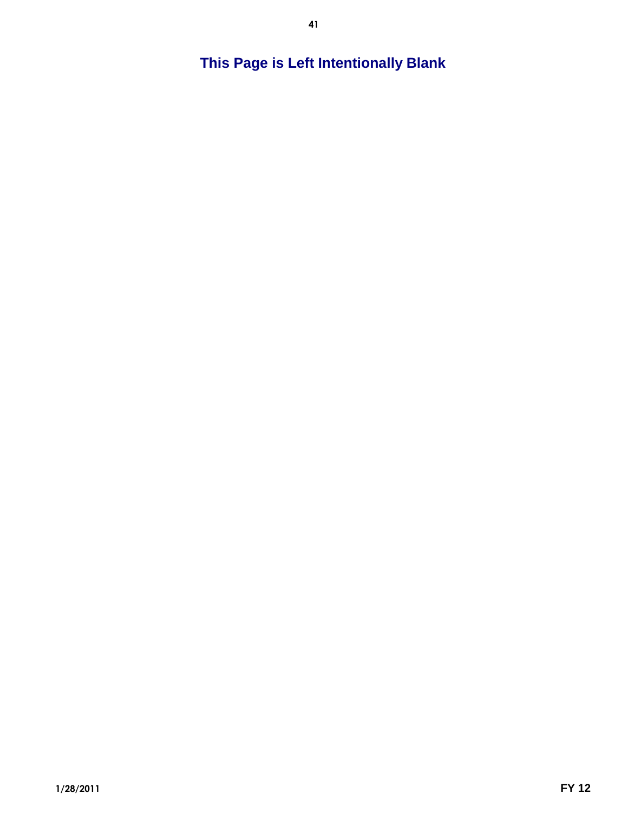**This Page is Left Intentionally Blank**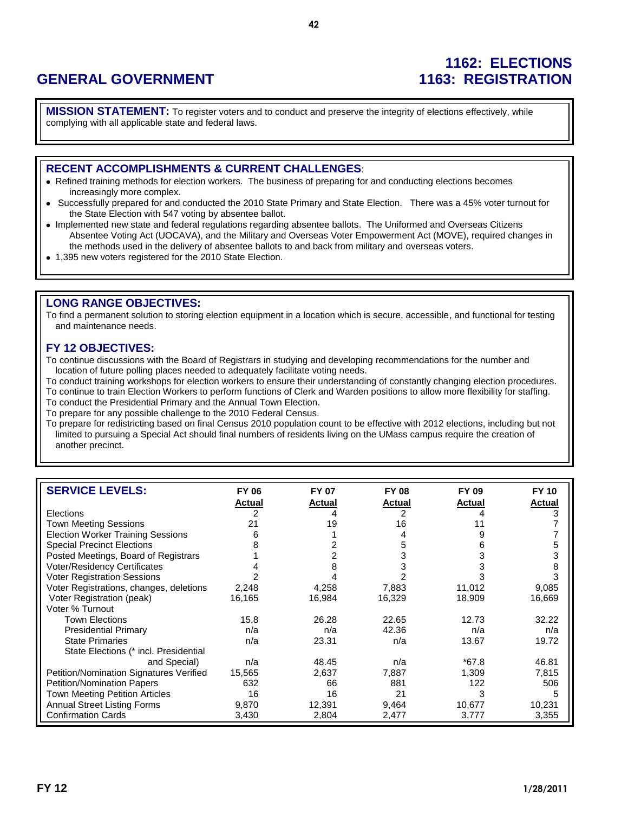# **GENERAL GOVERNMENT 1163: REGISTRATION**

# **1162: ELECTIONS**

**MISSION STATEMENT:** To register voters and to conduct and preserve the integrity of elections effectively, while complying with all applicable state and federal laws.

**42**

### **RECENT ACCOMPLISHMENTS & CURRENT CHALLENGES**:

- Refined training methods for election workers. The business of preparing for and conducting elections becomes increasingly more complex.
- Successfully prepared for and conducted the 2010 State Primary and State Election. There was a 45% voter turnout for the State Election with 547 voting by absentee ballot.
- Implemented new state and federal regulations regarding absentee ballots. The Uniformed and Overseas Citizens Absentee Voting Act (UOCAVA), and the Military and Overseas Voter Empowerment Act (MOVE), required changes in the methods used in the delivery of absentee ballots to and back from military and overseas voters.
- 1,395 new voters registered for the 2010 State Election.

### **LONG RANGE OBJECTIVES:**

To find a permanent solution to storing election equipment in a location which is secure, accessible, and functional for testing and maintenance needs.

### **FY 12 OBJECTIVES:**

To continue discussions with the Board of Registrars in studying and developing recommendations for the number and location of future polling places needed to adequately facilitate voting needs.

To conduct training workshops for election workers to ensure their understanding of constantly changing election procedures. To continue to train Election Workers to perform functions of Clerk and Warden positions to allow more flexibility for staffing. To conduct the Presidential Primary and the Annual Town Election.

To prepare for any possible challenge to the 2010 Federal Census.

To prepare for redistricting based on final Census 2010 population count to be effective with 2012 elections, including but not limited to pursuing a Special Act should final numbers of residents living on the UMass campus require the creation of another precinct.

| <b>SERVICE LEVELS:</b>                   | <b>FY 06</b><br>Actual | <b>FY 07</b><br>Actual | <b>FY 08</b><br>Actual | FY 09<br>Actual | <b>FY 10</b><br><b>Actual</b> |
|------------------------------------------|------------------------|------------------------|------------------------|-----------------|-------------------------------|
| <b>Elections</b>                         |                        |                        |                        |                 | 3                             |
| Town Meeting Sessions                    |                        | 19                     | 16                     |                 |                               |
| <b>Election Worker Training Sessions</b> | 6                      |                        |                        |                 |                               |
| <b>Special Precinct Elections</b>        | 8                      |                        | 5                      | 6               | 5                             |
| Posted Meetings, Board of Registrars     |                        |                        | 3                      | 3               | 3                             |
| <b>Voter/Residency Certificates</b>      |                        |                        | 3                      | 3               | 8                             |
| <b>Voter Registration Sessions</b>       |                        |                        |                        |                 | 3                             |
| Voter Registrations, changes, deletions  | 2,248                  | 4,258                  | 7,883                  | 11,012          | 9,085                         |
| Voter Registration (peak)                | 16,165                 | 16,984                 | 16,329                 | 18,909          | 16,669                        |
| Voter % Turnout                          |                        |                        |                        |                 |                               |
| <b>Town Elections</b>                    | 15.8                   | 26.28                  | 22.65                  | 12.73           | 32.22                         |
| <b>Presidential Primary</b>              | n/a                    | n/a                    | 42.36                  | n/a             | n/a                           |
| <b>State Primaries</b>                   | n/a                    | 23.31                  | n/a                    | 13.67           | 19.72                         |
| State Elections (* incl. Presidential    |                        |                        |                        |                 |                               |
| and Special)                             | n/a                    | 48.45                  | n/a                    | $*67.8$         | 46.81                         |
| Petition/Nomination Signatures Verified  | 15,565                 | 2,637                  | 7,887                  | 1,309           | 7,815                         |
| <b>Petition/Nomination Papers</b>        | 632                    | 66                     | 881                    | 122             | 506                           |
| Town Meeting Petition Articles           | 16                     | 16                     | 21                     | 3               | 5                             |
| <b>Annual Street Listing Forms</b>       | 9,870                  | 12,391                 | 9.464                  | 10,677          | 10,231                        |
| <b>Confirmation Cards</b>                | 3,430                  | 2,804                  | 2,477                  | 3,777           | 3,355                         |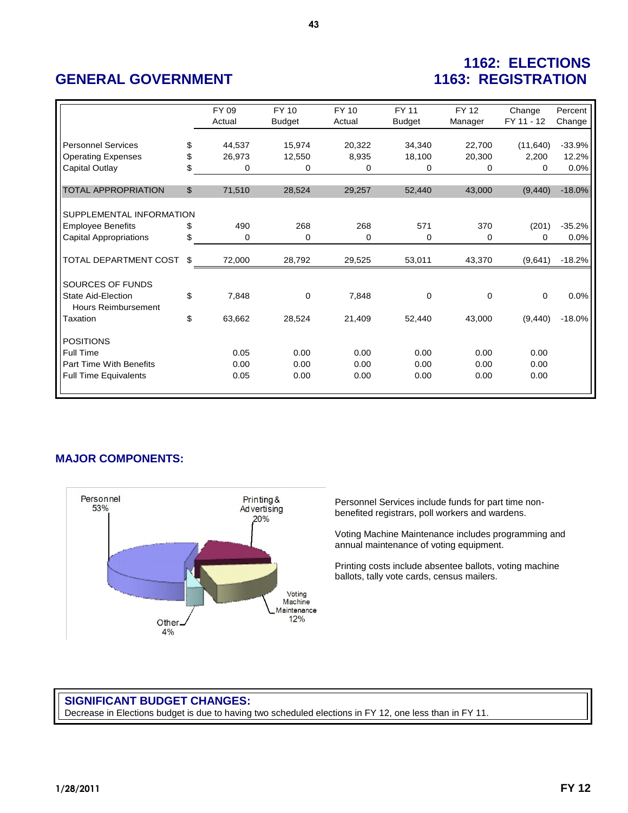# **GENERAL GOVERNMENT**

# **1162: ELECTIONS**<br>**1163: REGISTRATION**

|                                           | FY 09<br>Actual | FY 10<br><b>Budget</b> | FY 10<br>Actual | FY 11<br><b>Budget</b> | <b>FY 12</b><br>Manager | Change<br>FY 11 - 12 | Percent<br>Change |
|-------------------------------------------|-----------------|------------------------|-----------------|------------------------|-------------------------|----------------------|-------------------|
| <b>Personnel Services</b>                 | \$<br>44,537    | 15,974                 | 20,322          | 34,340                 | 22,700                  | (11, 640)            | $-33.9%$          |
| <b>Operating Expenses</b>                 | \$<br>26,973    | 12,550                 | 8,935           | 18,100                 | 20,300                  | 2,200                | 12.2%             |
| Capital Outlay                            | \$<br>0         | 0                      | 0               | 0                      | 0                       | 0                    | 0.0%              |
| <b>TOTAL APPROPRIATION</b>                | \$<br>71,510    | 28,524                 | 29,257          | 52,440                 | 43,000                  | (9, 440)             | $-18.0%$          |
|                                           |                 |                        |                 |                        |                         |                      |                   |
| SUPPLEMENTAL INFORMATION                  |                 |                        |                 |                        |                         |                      |                   |
| <b>Employee Benefits</b>                  | \$<br>490       | 268                    | 268             | 571                    | 370                     | (201)                | $-35.2%$          |
| <b>Capital Appropriations</b>             | \$<br>0         | 0                      | 0               | 0                      | 0                       | 0                    | 0.0%              |
| TOTAL DEPARTMENT COST                     | \$<br>72,000    | 28,792                 | 29,525          | 53,011                 | 43,370                  | (9,641)              | $-18.2%$          |
|                                           |                 |                        |                 |                        |                         |                      |                   |
| SOURCES OF FUNDS                          |                 |                        |                 |                        |                         |                      |                   |
| State Aid-Election<br>Hours Reimbursement | \$<br>7,848     | 0                      | 7,848           | $\Omega$               | 0                       | $\Omega$             | 0.0%              |
| Taxation                                  | \$<br>63,662    | 28,524                 | 21,409          | 52,440                 | 43,000                  | (9,440)              | $-18.0%$          |
| <b>POSITIONS</b>                          |                 |                        |                 |                        |                         |                      |                   |
| Full Time                                 | 0.05            | 0.00                   | 0.00            | 0.00                   | 0.00                    | 0.00                 |                   |
| <b>Part Time With Benefits</b>            | 0.00            | 0.00                   | 0.00            | 0.00                   | 0.00                    | 0.00                 |                   |
| <b>Full Time Equivalents</b>              | 0.05            | 0.00                   | 0.00            | 0.00                   | 0.00                    | 0.00                 |                   |

# **MAJOR COMPONENTS:**



Personnel Services include funds for part time nonbenefited registrars, poll workers and wardens.

Voting Machine Maintenance includes programming and annual maintenance of voting equipment.

Printing costs include absentee ballots, voting machine ballots, tally vote cards, census mailers.

# **SIGNIFICANT BUDGET CHANGES:**

Decrease in Elections budget is due to having two scheduled elections in FY 12, one less than in FY 11.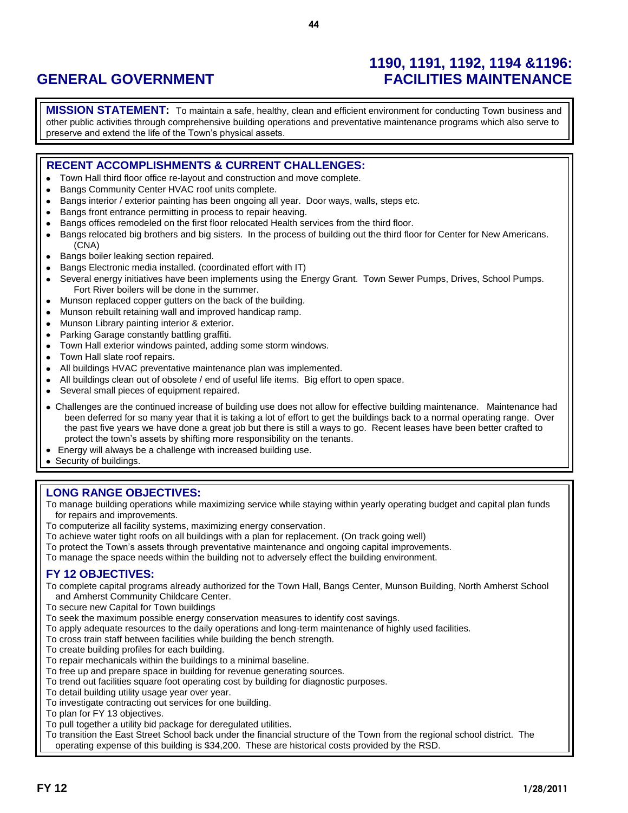# **1190, 1191, 1192, 1194 &1196: GENERAL GOVERNMENT FACILITIES MAINTENANCE**

**MISSION STATEMENT:** To maintain a safe, healthy, clean and efficient environment for conducting Town business and other public activities through comprehensive building operations and preventative maintenance programs which also serve to preserve and extend the life of the Town's physical assets.

**44**

### **RECENT ACCOMPLISHMENTS & CURRENT CHALLENGES:**

- Town Hall third floor office re-layout and construction and move complete.
- Bangs Community Center HVAC roof units complete.  $\bullet$
- Bangs interior / exterior painting has been ongoing all year. Door ways, walls, steps etc.  $\bullet$
- Bangs front entrance permitting in process to repair heaving.  $\bullet$
- $\bullet$ Bangs offices remodeled on the first floor relocated Health services from the third floor.
- $\bullet$ Bangs relocated big brothers and big sisters. In the process of building out the third floor for Center for New Americans. (CNA)
- Bangs boiler leaking section repaired.  $\bullet$
- Bangs Electronic media installed. (coordinated effort with IT)  $\bullet$
- Several energy initiatives have been implements using the Energy Grant. Town Sewer Pumps, Drives, School Pumps.  $\bullet$ Fort River boilers will be done in the summer.
- Munson replaced copper gutters on the back of the building.  $\bullet$
- Munson rebuilt retaining wall and improved handicap ramp.
- Munson Library painting interior & exterior.  $\bullet$
- Parking Garage constantly battling graffiti.  $\bullet$
- Town Hall exterior windows painted, adding some storm windows.  $\bullet$
- Town Hall slate roof repairs.  $\bullet$
- All buildings HVAC preventative maintenance plan was implemented.  $\bullet$
- $\bullet$ All buildings clean out of obsolete / end of useful life items. Big effort to open space.
- Several small pieces of equipment repaired.  $\bullet$
- Challenges are the continued increase of building use does not allow for effective building maintenance. Maintenance had been deferred for so many year that it is taking a lot of effort to get the buildings back to a normal operating range. Over the past five years we have done a great job but there is still a ways to go. Recent leases have been better crafted to protect the town's assets by shifting more responsibility on the tenants.
- $\bullet$ Energy will always be a challenge with increased building use.
- Security of buildings.

## **LONG RANGE OBJECTIVES:**

To manage building operations while maximizing service while staying within yearly operating budget and capital plan funds for repairs and improvements.

To computerize all facility systems, maximizing energy conservation.

- To achieve water tight roofs on all buildings with a plan for replacement. (On track going well)
- To protect the Town's assets through preventative maintenance and ongoing capital improvements.

To manage the space needs within the building not to adversely effect the building environment.

### **FY 12 OBJECTIVES:**

To complete capital programs already authorized for the Town Hall, Bangs Center, Munson Building, North Amherst School and Amherst Community Childcare Center.

- To secure new Capital for Town buildings
- To seek the maximum possible energy conservation measures to identify cost savings.
- To apply adequate resources to the daily operations and long-term maintenance of highly used facilities.
- To cross train staff between facilities while building the bench strength.
- To create building profiles for each building.
- To repair mechanicals within the buildings to a minimal baseline.
- To free up and prepare space in building for revenue generating sources.
- To trend out facilities square foot operating cost by building for diagnostic purposes.
- To detail building utility usage year over year.
- To investigate contracting out services for one building.
- To plan for FY 13 objectives.
- To pull together a utility bid package for deregulated utilities.

To transition the East Street School back under the financial structure of the Town from the regional school district. The operating expense of this building is \$34,200. These are historical costs provided by the RSD.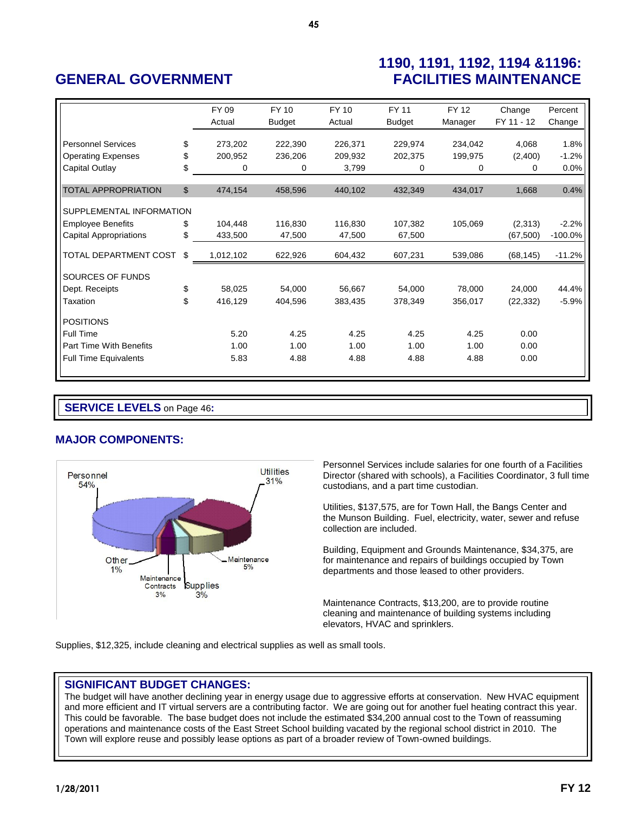# **1190, 1191, 1192, 1194 &1196: GENERAL GOVERNMENT FACILITIES MAINTENANCE**

|                               | FY 09<br>Actual | FY 10<br><b>Budget</b> | FY 10<br>Actual | <b>FY 11</b><br><b>Budget</b> | FY 12<br>Manager | Change<br>FY 11 - 12 | Percent<br>Change |
|-------------------------------|-----------------|------------------------|-----------------|-------------------------------|------------------|----------------------|-------------------|
|                               |                 |                        |                 |                               |                  |                      |                   |
| <b>Personnel Services</b>     | \$<br>273,202   | 222,390                | 226,371         | 229,974                       | 234,042          | 4,068                | 1.8%              |
| <b>Operating Expenses</b>     | \$<br>200,952   | 236,206                | 209,932         | 202,375                       | 199,975          | (2,400)              | $-1.2%$           |
| Capital Outlay                | \$<br>0         | 0                      | 3,799           | 0                             | 0                | 0                    | 0.0%              |
|                               |                 |                        |                 |                               |                  |                      |                   |
| <b>TOTAL APPROPRIATION</b>    | \$<br>474,154   | 458,596                | 440,102         | 432,349                       | 434,017          | 1,668                | 0.4%              |
| SUPPLEMENTAL INFORMATION      |                 |                        |                 |                               |                  |                      |                   |
| <b>Employee Benefits</b>      | \$<br>104,448   | 116,830                | 116,830         | 107,382                       | 105,069          | (2,313)              | $-2.2%$           |
| <b>Capital Appropriations</b> | \$<br>433.500   | 47,500                 | 47.500          | 67,500                        |                  | (67, 500)            | $-100.0%$         |
| TOTAL DEPARTMENT COST         | \$<br>1,012,102 | 622,926                | 604,432         | 607,231                       | 539,086          | (68, 145)            | $-11.2%$          |
| SOURCES OF FUNDS              |                 |                        |                 |                               |                  |                      |                   |
| Dept. Receipts                | \$<br>58,025    | 54,000                 | 56,667          | 54,000                        | 78,000           | 24,000               | 44.4%             |
| Taxation                      | \$<br>416,129   | 404.596                | 383.435         | 378,349                       | 356,017          | (22, 332)            | $-5.9%$           |
| <b>POSITIONS</b>              |                 |                        |                 |                               |                  |                      |                   |
| Full Time                     | 5.20            | 4.25                   | 4.25            | 4.25                          | 4.25             | 0.00                 |                   |
| Part Time With Benefits       | 1.00            | 1.00                   | 1.00            | 1.00                          | 1.00             | 0.00                 |                   |
| <b>Full Time Equivalents</b>  | 5.83            | 4.88                   | 4.88            | 4.88                          | 4.88             | 0.00                 |                   |
|                               |                 |                        |                 |                               |                  |                      |                   |

**SERVICE LEVELS** on Page 46**:**

# **MAJOR COMPONENTS:**



Personnel Services include salaries for one fourth of a Facilities Director (shared with schools), a Facilities Coordinator, 3 full time custodians, and a part time custodian.

Utilities, \$137,575, are for Town Hall, the Bangs Center and the Munson Building. Fuel, electricity, water, sewer and refuse collection are included.

Building, Equipment and Grounds Maintenance, \$34,375, are for maintenance and repairs of buildings occupied by Town departments and those leased to other providers.

Maintenance Contracts, \$13,200, are to provide routine cleaning and maintenance of building systems including elevators, HVAC and sprinklers.

Supplies, \$12,325, include cleaning and electrical supplies as well as small tools.

# **SIGNIFICANT BUDGET CHANGES:**

The budget will have another declining year in energy usage due to aggressive efforts at conservation. New HVAC equipment and more efficient and IT virtual servers are a contributing factor. We are going out for another fuel heating contract this year. This could be favorable. The base budget does not include the estimated \$34,200 annual cost to the Town of reassuming operations and maintenance costs of the East Street School building vacated by the regional school district in 2010. The Town will explore reuse and possibly lease options as part of a broader review of Town-owned buildings.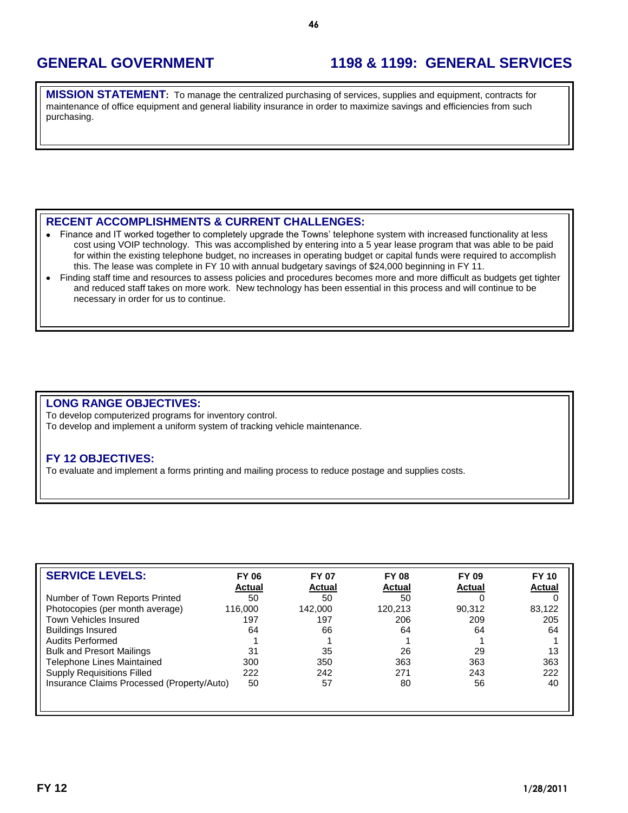# **GENERAL GOVERNMENT 1198 & 1199: GENERAL SERVICES**

**MISSION STATEMENT:** To manage the centralized purchasing of services, supplies and equipment, contracts for maintenance of office equipment and general liability insurance in order to maximize savings and efficiencies from such purchasing.

# **RECENT ACCOMPLISHMENTS & CURRENT CHALLENGES:**

- Finance and IT worked together to completely upgrade the Towns' telephone system with increased functionality at less  $\bullet$ cost using VOIP technology. This was accomplished by entering into a 5 year lease program that was able to be paid for within the existing telephone budget, no increases in operating budget or capital funds were required to accomplish this. The lease was complete in FY 10 with annual budgetary savings of \$24,000 beginning in FY 11.
- Finding staff time and resources to assess policies and procedures becomes more and more difficult as budgets get tighter  $\bullet$ and reduced staff takes on more work. New technology has been essential in this process and will continue to be necessary in order for us to continue.

### **LONG RANGE OBJECTIVES:**

To develop computerized programs for inventory control. To develop and implement a uniform system of tracking vehicle maintenance.

### **FY 12 OBJECTIVES:**

To evaluate and implement a forms printing and mailing process to reduce postage and supplies costs.

| <b>SERVICE LEVELS:</b>                     | <b>FY 06</b><br><b>Actual</b> | <b>FY 07</b><br><b>Actual</b> | <b>FY 08</b><br><b>Actual</b> | <b>FY 09</b><br><b>Actual</b> | <b>FY 10</b><br><b>Actual</b> |
|--------------------------------------------|-------------------------------|-------------------------------|-------------------------------|-------------------------------|-------------------------------|
| Number of Town Reports Printed             | 50                            | 50                            | 50                            |                               |                               |
| Photocopies (per month average)            | 116,000                       | 142,000                       | 120,213                       | 90,312                        | 83,122                        |
| Town Vehicles Insured                      | 197                           | 197                           | 206                           | 209                           | 205                           |
| <b>Buildings Insured</b>                   | 64                            | 66                            | 64                            | 64                            | 64                            |
| <b>Audits Performed</b>                    |                               |                               |                               |                               |                               |
| <b>Bulk and Presort Mailings</b>           | 31                            | 35                            | 26                            | 29                            | 13                            |
| <b>Telephone Lines Maintained</b>          | 300                           | 350                           | 363                           | 363                           | 363                           |
| <b>Supply Requisitions Filled</b>          | 222                           | 242                           | 271                           | 243                           | 222                           |
| Insurance Claims Processed (Property/Auto) | 50                            | 57                            | 80                            | 56                            | 40                            |
|                                            |                               |                               |                               |                               |                               |
|                                            |                               |                               |                               |                               |                               |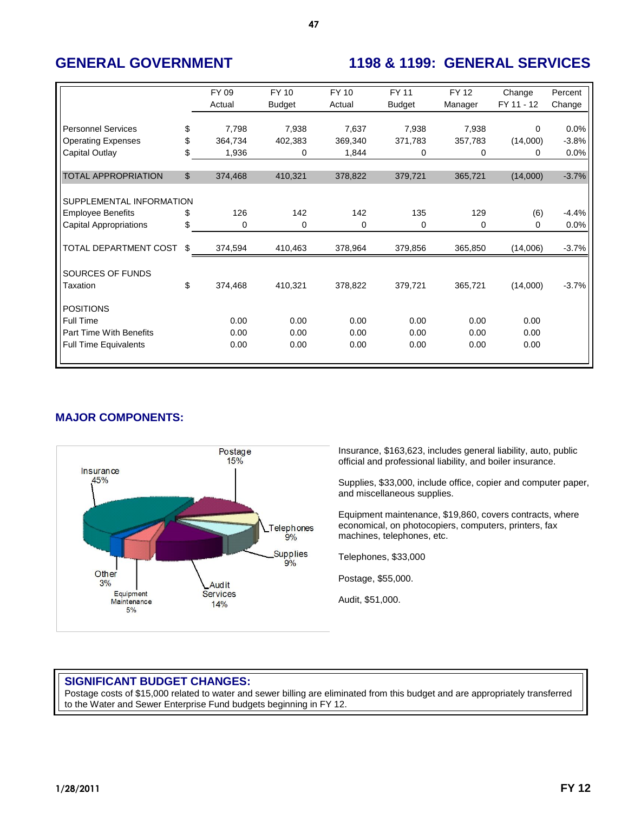# **GENERAL GOVERNMENT 1198 & 1199: GENERAL SERVICES**

|                               |                | FY 09<br>Actual | FY 10<br><b>Budget</b> | <b>FY 10</b><br>Actual | <b>FY 11</b><br><b>Budget</b> | FY 12<br>Manager | Change<br>FY 11 - 12 | Percent<br>Change |
|-------------------------------|----------------|-----------------|------------------------|------------------------|-------------------------------|------------------|----------------------|-------------------|
| <b>Personnel Services</b>     | \$             | 7,798           | 7,938                  | 7,637                  | 7,938                         | 7,938            | 0                    | 0.0%              |
| <b>Operating Expenses</b>     | \$             | 364,734         | 402,383                | 369,340                | 371,783                       | 357,783          | (14,000)             | $-3.8%$           |
| Capital Outlay                | \$             | 1,936           | 0                      | 1,844                  | 0                             | 0                | 0                    | 0.0%              |
|                               |                |                 |                        |                        |                               |                  |                      |                   |
| <b>TOTAL APPROPRIATION</b>    | $\mathfrak{S}$ | 374,468         | 410,321                | 378,822                | 379,721                       | 365,721          | (14,000)             | $-3.7%$           |
|                               |                |                 |                        |                        |                               |                  |                      |                   |
| SUPPLEMENTAL INFORMATION      |                |                 |                        |                        |                               |                  |                      |                   |
| <b>Employee Benefits</b>      | \$             | 126             | 142                    | 142                    | 135                           | 129              | (6)                  | $-4.4%$           |
| <b>Capital Appropriations</b> | \$             | 0               | 0                      | 0                      | 0                             | 0                | 0                    | 0.0%              |
| <b>TOTAL DEPARTMENT COST</b>  | \$             | 374,594         | 410,463                | 378,964                | 379,856                       | 365,850          | (14,006)             | $-3.7%$           |
|                               |                |                 |                        |                        |                               |                  |                      |                   |
| SOURCES OF FUNDS              |                |                 |                        |                        |                               |                  |                      |                   |
| Taxation                      | \$             | 374,468         | 410,321                | 378,822                | 379,721                       | 365,721          | (14,000)             | $-3.7%$           |
| <b>POSITIONS</b>              |                |                 |                        |                        |                               |                  |                      |                   |
| Full Time                     |                | 0.00            | 0.00                   | 0.00                   | 0.00                          | 0.00             | 0.00                 |                   |
| Part Time With Benefits       |                | 0.00            | 0.00                   | 0.00                   | 0.00                          | 0.00             | 0.00                 |                   |
| <b>Full Time Equivalents</b>  |                | 0.00            | 0.00                   | 0.00                   | 0.00                          | 0.00             | 0.00                 |                   |
|                               |                |                 |                        |                        |                               |                  |                      |                   |

# **MAJOR COMPONENTS:**



Insurance, \$163,623, includes general liability, auto, public official and professional liability, and boiler insurance.

Supplies, \$33,000, include office, copier and computer paper, and miscellaneous supplies.

Equipment maintenance, \$19,860, covers contracts, where economical, on photocopiers, computers, printers, fax machines, telephones, etc.

Telephones, \$33,000

Postage, \$55,000.

Audit, \$51,000.

## **SIGNIFICANT BUDGET CHANGES:**

Postage costs of \$15,000 related to water and sewer billing are eliminated from this budget and are appropriately transferred to the Water and Sewer Enterprise Fund budgets beginning in FY 12.